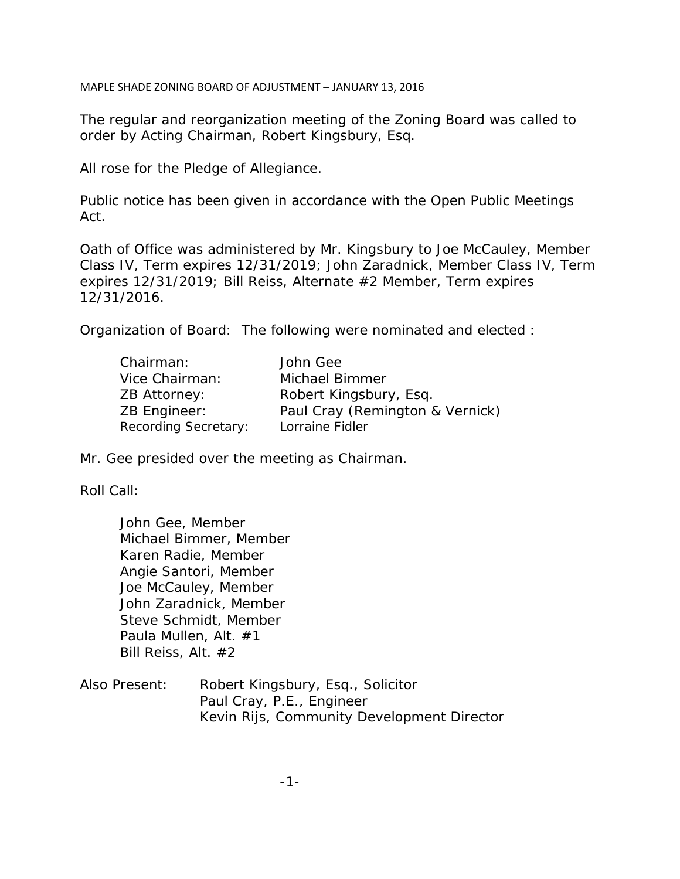MAPLE SHADE ZONING BOARD OF ADJUSTMENT – JANUARY 13, 2016

The regular and reorganization meeting of the Zoning Board was called to order by Acting Chairman, Robert Kingsbury, Esq.

All rose for the Pledge of Allegiance.

Public notice has been given in accordance with the Open Public Meetings Act.

Oath of Office was administered by Mr. Kingsbury to Joe McCauley, Member Class IV, Term expires 12/31/2019; John Zaradnick, Member Class IV, Term expires 12/31/2019; Bill Reiss, Alternate #2 Member, Term expires 12/31/2016.

Organization of Board: The following were nominated and elected :

| Chairman:            | John Gee                        |
|----------------------|---------------------------------|
| Vice Chairman:       | Michael Bimmer                  |
| ZB Attorney:         | Robert Kingsbury, Esq.          |
| ZB Engineer:         | Paul Cray (Remington & Vernick) |
| Recording Secretary: | Lorraine Fidler                 |

Mr. Gee presided over the meeting as Chairman.

Roll Call:

John Gee, Member Michael Bimmer, Member Karen Radie, Member Angie Santori, Member Joe McCauley, Member John Zaradnick, Member Steve Schmidt, Member Paula Mullen, Alt. #1 Bill Reiss, Alt. #2

| Also Present: | Robert Kingsbury, Esq., Solicitor          |
|---------------|--------------------------------------------|
|               | Paul Cray, P.E., Engineer                  |
|               | Kevin Rijs, Community Development Director |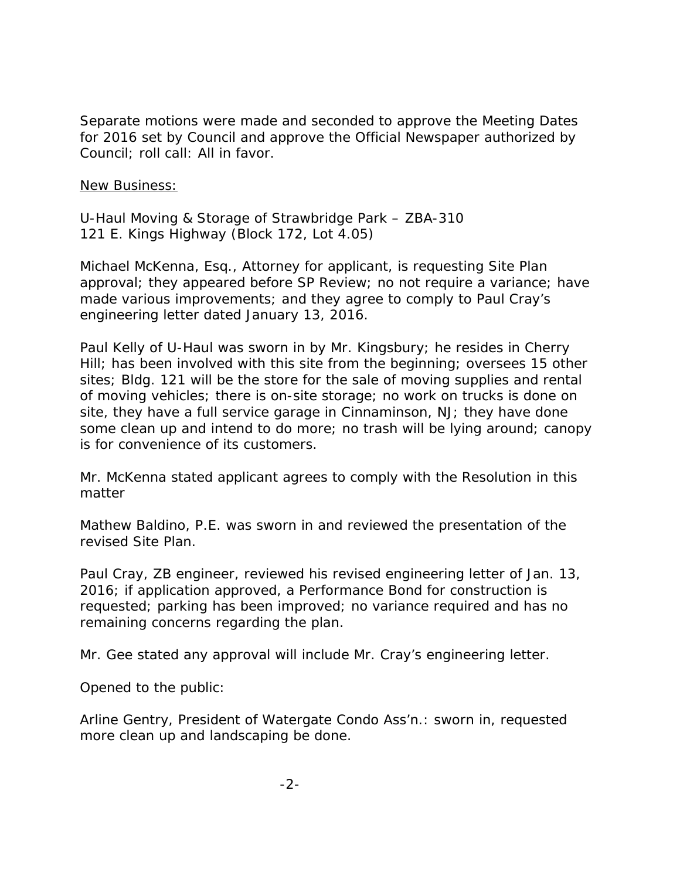Separate motions were made and seconded to approve the Meeting Dates for 2016 set by Council and approve the Official Newspaper authorized by Council; roll call: All in favor.

New Business:

U-Haul Moving & Storage of Strawbridge Park – ZBA-310 121 E. Kings Highway (Block 172, Lot 4.05)

Michael McKenna, Esq., Attorney for applicant, is requesting Site Plan approval; they appeared before SP Review; no not require a variance; have made various improvements; and they agree to comply to Paul Cray's engineering letter dated January 13, 2016.

Paul Kelly of U-Haul was sworn in by Mr. Kingsbury; he resides in Cherry Hill; has been involved with this site from the beginning; oversees 15 other sites; Bldg. 121 will be the store for the sale of moving supplies and rental of moving vehicles; there is on-site storage; no work on trucks is done on site, they have a full service garage in Cinnaminson, NJ; they have done some clean up and intend to do more; no trash will be lying around; canopy is for convenience of its customers.

Mr. McKenna stated applicant agrees to comply with the Resolution in this matter

Mathew Baldino, P.E. was sworn in and reviewed the presentation of the revised Site Plan.

Paul Cray, ZB engineer, reviewed his revised engineering letter of Jan. 13, 2016; if application approved, a Performance Bond for construction is requested; parking has been improved; no variance required and has no remaining concerns regarding the plan.

Mr. Gee stated any approval will include Mr. Cray's engineering letter.

Opened to the public:

Arline Gentry, President of Watergate Condo Ass'n.: sworn in, requested more clean up and landscaping be done.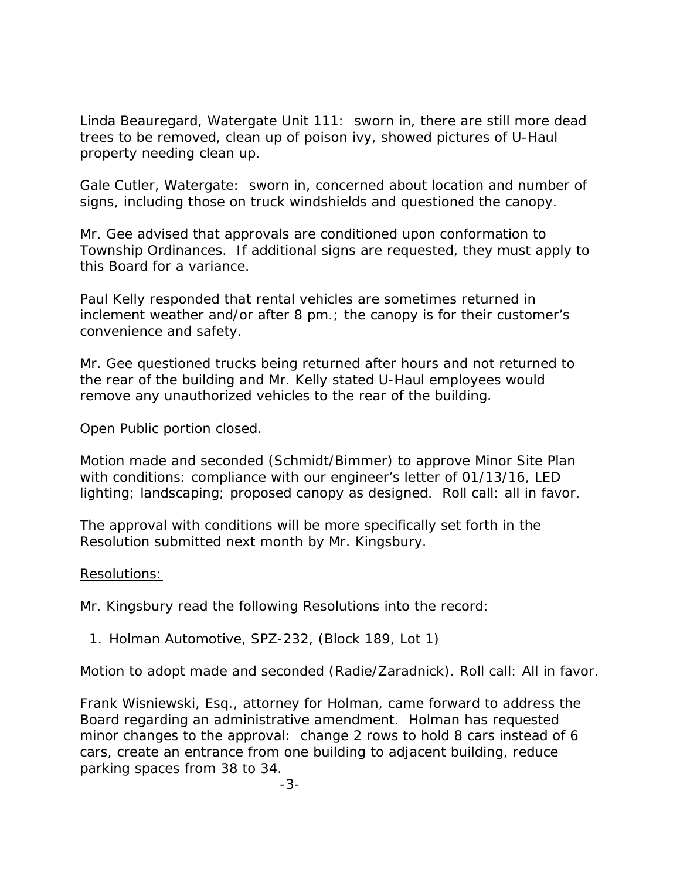Linda Beauregard, Watergate Unit 111: sworn in, there are still more dead trees to be removed, clean up of poison ivy, showed pictures of U-Haul property needing clean up.

Gale Cutler, Watergate: sworn in, concerned about location and number of signs, including those on truck windshields and questioned the canopy.

Mr. Gee advised that approvals are conditioned upon conformation to Township Ordinances. If additional signs are requested, they must apply to this Board for a variance.

Paul Kelly responded that rental vehicles are sometimes returned in inclement weather and/or after 8 pm.; the canopy is for their customer's convenience and safety.

Mr. Gee questioned trucks being returned after hours and not returned to the rear of the building and Mr. Kelly stated U-Haul employees would remove any unauthorized vehicles to the rear of the building.

Open Public portion closed.

Motion made and seconded (Schmidt/Bimmer) to approve Minor Site Plan with conditions: compliance with our engineer's letter of 01/13/16, LED lighting; landscaping; proposed canopy as designed. Roll call: all in favor.

The approval with conditions will be more specifically set forth in the Resolution submitted next month by Mr. Kingsbury.

# Resolutions:

Mr. Kingsbury read the following Resolutions into the record:

1. Holman Automotive, SPZ-232, (Block 189, Lot 1)

Motion to adopt made and seconded (Radie/Zaradnick). Roll call: All in favor.

Frank Wisniewski, Esq., attorney for Holman, came forward to address the Board regarding an administrative amendment. Holman has requested minor changes to the approval: change 2 rows to hold 8 cars instead of 6 cars, create an entrance from one building to adjacent building, reduce parking spaces from 38 to 34.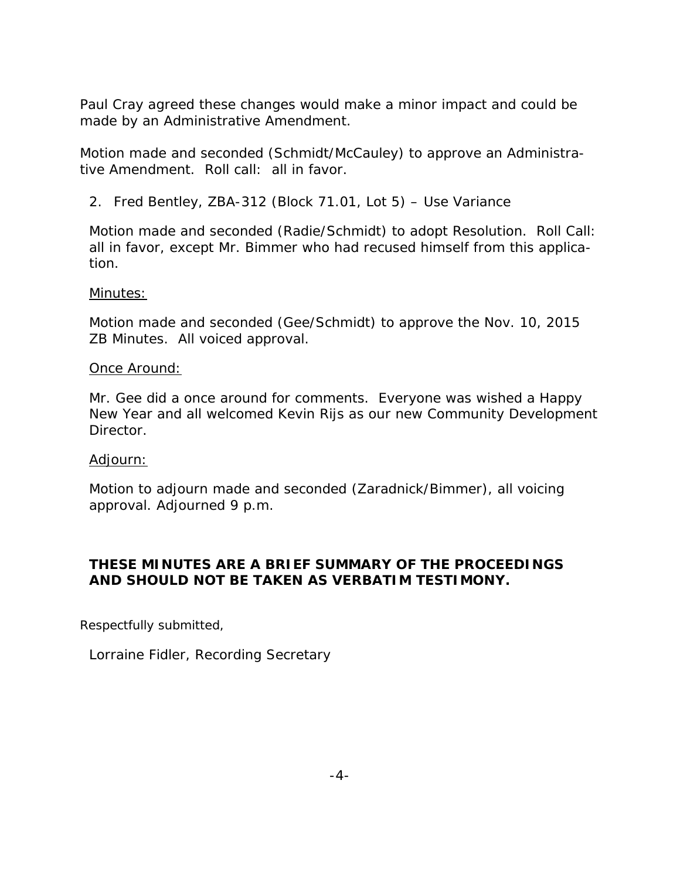Paul Cray agreed these changes would make a minor impact and could be made by an Administrative Amendment.

Motion made and seconded (Schmidt/McCauley) to approve an Administrative Amendment. Roll call: all in favor.

2. Fred Bentley, ZBA-312 (Block 71.01, Lot 5) – Use Variance

Motion made and seconded (Radie/Schmidt) to adopt Resolution. Roll Call: all in favor, except Mr. Bimmer who had recused himself from this application.

# Minutes:

Motion made and seconded (Gee/Schmidt) to approve the Nov. 10, 2015 ZB Minutes. All voiced approval.

# Once Around:

Mr. Gee did a once around for comments. Everyone was wished a Happy New Year and all welcomed Kevin Rijs as our new Community Development Director.

# Adjourn:

Motion to adjourn made and seconded (Zaradnick/Bimmer), all voicing approval. Adjourned 9 p.m.

# **THESE MINUTES ARE A BRIEF SUMMARY OF THE PROCEEDINGS AND SHOULD NOT BE TAKEN AS VERBATIM TESTIMONY.**

Respectfully submitted,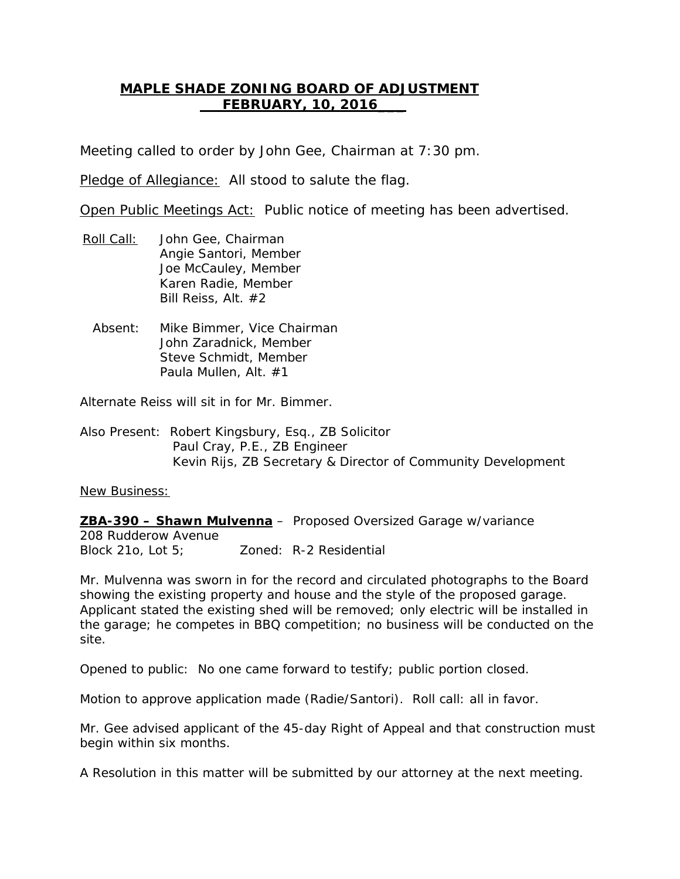# **MAPLE SHADE ZONING BOARD OF ADJUSTMENT FEBRUARY, 10, 2016\_\_\_**

Meeting called to order by John Gee, Chairman at 7:30 pm.

Pledge of Allegiance: All stood to salute the flag.

Open Public Meetings Act: Public notice of meeting has been advertised.

- Roll Call: Angie Santori, Member John Gee, Chairman Joe McCauley, Member Karen Radie, Member Bill Reiss, Alt. #2
	- Absent: Mike Bimmer, Vice Chairman John Zaradnick, Member Steve Schmidt, Member Paula Mullen, Alt. #1

Alternate Reiss will sit in for Mr. Bimmer.

Also Present: Robert Kingsbury, Esq., ZB Solicitor Paul Cray, P.E., ZB Engineer Kevin Rijs, ZB Secretary & Director of Community Development

New Business:

**ZBA-390 – Shawn Mulvenna** – Proposed Oversized Garage w/variance 208 Rudderow Avenue Block 21o, Lot 5; Zoned: R-2 Residential

Mr. Mulvenna was sworn in for the record and circulated photographs to the Board showing the existing property and house and the style of the proposed garage. Applicant stated the existing shed will be removed; only electric will be installed in the garage; he competes in BBQ competition; no business will be conducted on the site.

Opened to public: No one came forward to testify; public portion closed.

Motion to approve application made (Radie/Santori). Roll call: all in favor.

Mr. Gee advised applicant of the 45-day Right of Appeal and that construction must begin within six months.

A Resolution in this matter will be submitted by our attorney at the next meeting.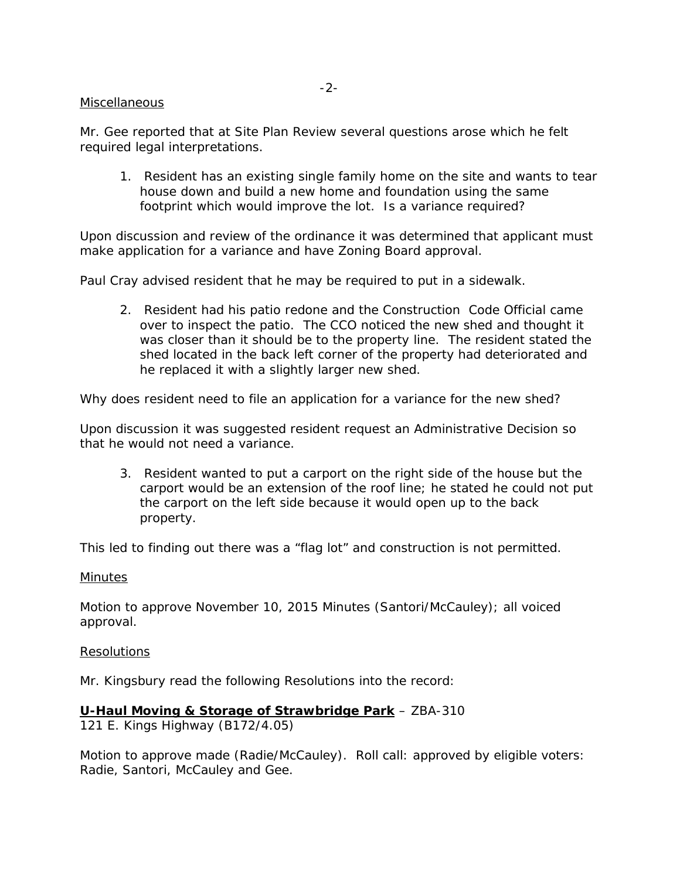#### Miscellaneous

Mr. Gee reported that at Site Plan Review several questions arose which he felt required legal interpretations.

1. Resident has an existing single family home on the site and wants to tear house down and build a new home and foundation using the same footprint which would improve the lot. Is a variance required?

Upon discussion and review of the ordinance it was determined that applicant must make application for a variance and have Zoning Board approval.

Paul Cray advised resident that he may be required to put in a sidewalk.

2. Resident had his patio redone and the Construction Code Official came over to inspect the patio. The CCO noticed the new shed and thought it was closer than it should be to the property line. The resident stated the shed located in the back left corner of the property had deteriorated and he replaced it with a slightly larger new shed.

Why does resident need to file an application for a variance for the new shed?

Upon discussion it was suggested resident request an Administrative Decision so that he would not need a variance.

3. Resident wanted to put a carport on the right side of the house but the carport would be an extension of the roof line; he stated he could not put the carport on the left side because it would open up to the back property.

This led to finding out there was a "flag lot" and construction is not permitted.

#### **Minutes**

Motion to approve November 10, 2015 Minutes (Santori/McCauley); all voiced approval.

#### Resolutions

Mr. Kingsbury read the following Resolutions into the record:

## **U-Haul Moving & Storage of Strawbridge Park** – ZBA-310

121 E. Kings Highway (B172/4.05)

Motion to approve made (Radie/McCauley). Roll call: approved by eligible voters: Radie, Santori, McCauley and Gee.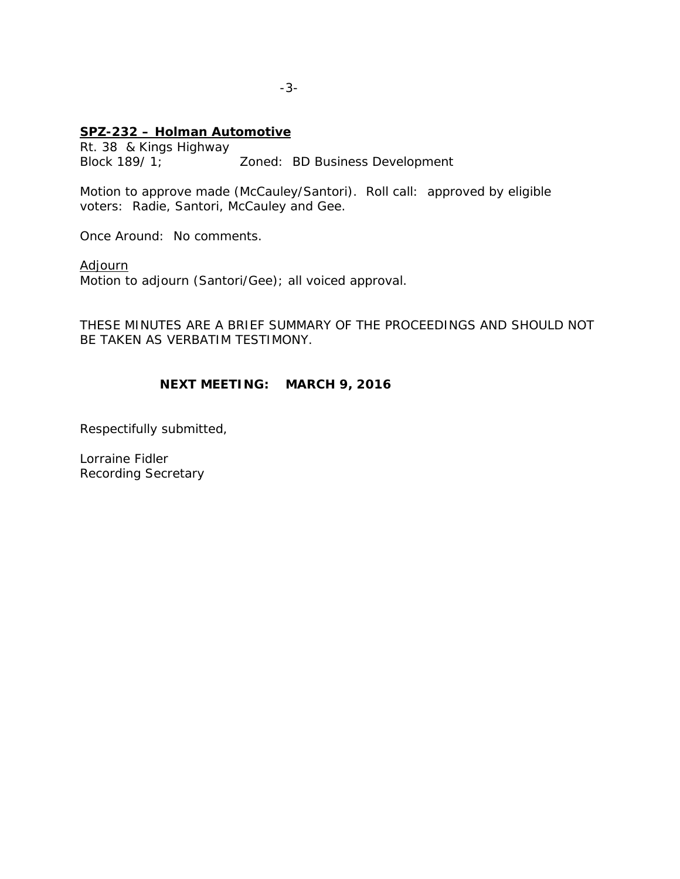## **SPZ-232 – Holman Automotive**

Rt. 38 & Kings Highway Block 189/ 1; Zoned: BD Business Development

Motion to approve made (McCauley/Santori). Roll call: approved by eligible voters: Radie, Santori, McCauley and Gee.

Once Around: No comments.

Adjourn

Motion to adjourn (Santori/Gee); all voiced approval.

THESE MINUTES ARE A BRIEF SUMMARY OF THE PROCEEDINGS AND SHOULD NOT BE TAKEN AS VERBATIM TESTIMONY.

# **NEXT MEETING: MARCH 9, 2016**

Respectifully submitted,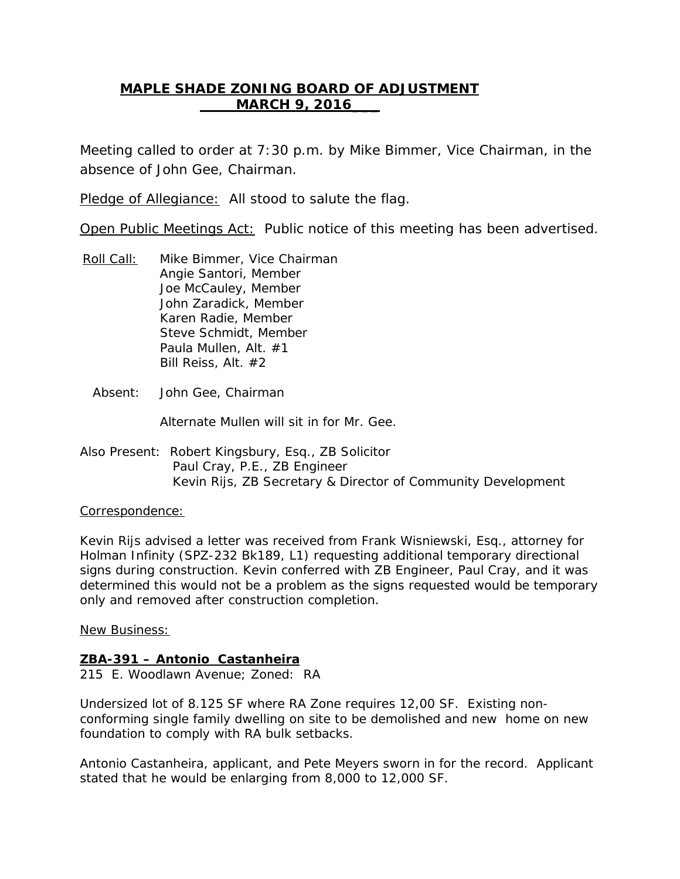# **MAPLE SHADE ZONING BOARD OF ADJUSTMENT MARCH 9, 2016\_\_\_**

Meeting called to order at 7:30 p.m. by Mike Bimmer, Vice Chairman, in the absence of John Gee, Chairman.

Pledge of Allegiance: All stood to salute the flag.

Open Public Meetings Act: Public notice of this meeting has been advertised.

- Roll Call: Angie Santori, Member Mike Bimmer, Vice Chairman Joe McCauley, Member John Zaradick, Member Karen Radie, Member Steve Schmidt, Member Paula Mullen, Alt. #1 Bill Reiss, Alt. #2
	- Absent: John Gee, Chairman

Alternate Mullen will sit in for Mr. Gee.

Also Present: Robert Kingsbury, Esq., ZB Solicitor Paul Cray, P.E., ZB Engineer Kevin Rijs, ZB Secretary & Director of Community Development

## Correspondence:

Kevin Rijs advised a letter was received from Frank Wisniewski, Esq., attorney for Holman Infinity (SPZ-232 Bk189, L1) requesting additional temporary directional signs during construction. Kevin conferred with ZB Engineer, Paul Cray, and it was determined this would not be a problem as the signs requested would be temporary only and removed after construction completion.

New Business:

# **ZBA-391 – Antonio Castanheira**

215 E. Woodlawn Avenue; Zoned: RA

Undersized lot of 8.125 SF where RA Zone requires 12,00 SF. Existing nonconforming single family dwelling on site to be demolished and new home on new foundation to comply with RA bulk setbacks.

Antonio Castanheira, applicant, and Pete Meyers sworn in for the record. Applicant stated that he would be enlarging from 8,000 to 12,000 SF.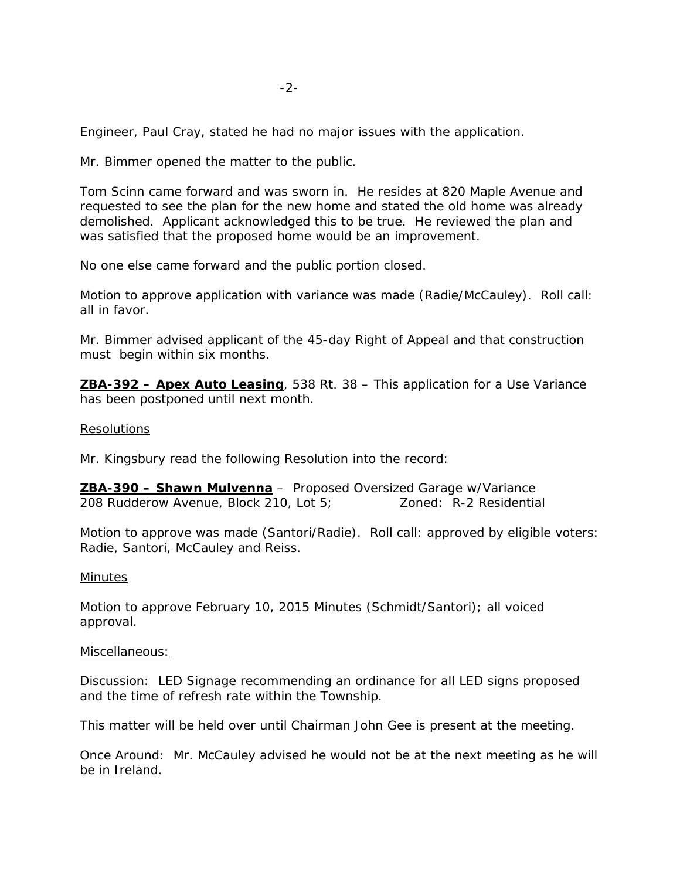Engineer, Paul Cray, stated he had no major issues with the application.

Mr. Bimmer opened the matter to the public.

Tom Scinn came forward and was sworn in. He resides at 820 Maple Avenue and requested to see the plan for the new home and stated the old home was already demolished. Applicant acknowledged this to be true. He reviewed the plan and was satisfied that the proposed home would be an improvement.

No one else came forward and the public portion closed.

Motion to approve application with variance was made (Radie/McCauley). Roll call: all in favor.

Mr. Bimmer advised applicant of the 45-day Right of Appeal and that construction must begin within six months.

**ZBA-392 – Apex Auto Leasing**, 538 Rt. 38 – This application for a Use Variance has been postponed until next month.

#### Resolutions

Mr. Kingsbury read the following Resolution into the record:

**ZBA-390 – Shawn Mulvenna** – Proposed Oversized Garage w/Variance 208 Rudderow Avenue, Block 210, Lot 5; Zoned: R-2 Residential

Motion to approve was made (Santori/Radie). Roll call: approved by eligible voters: Radie, Santori, McCauley and Reiss.

#### **Minutes**

Motion to approve February 10, 2015 Minutes (Schmidt/Santori); all voiced approval.

#### Miscellaneous:

Discussion: LED Signage recommending an ordinance for all LED signs proposed and the time of refresh rate within the Township.

This matter will be held over until Chairman John Gee is present at the meeting.

Once Around: Mr. McCauley advised he would not be at the next meeting as he will be in Ireland.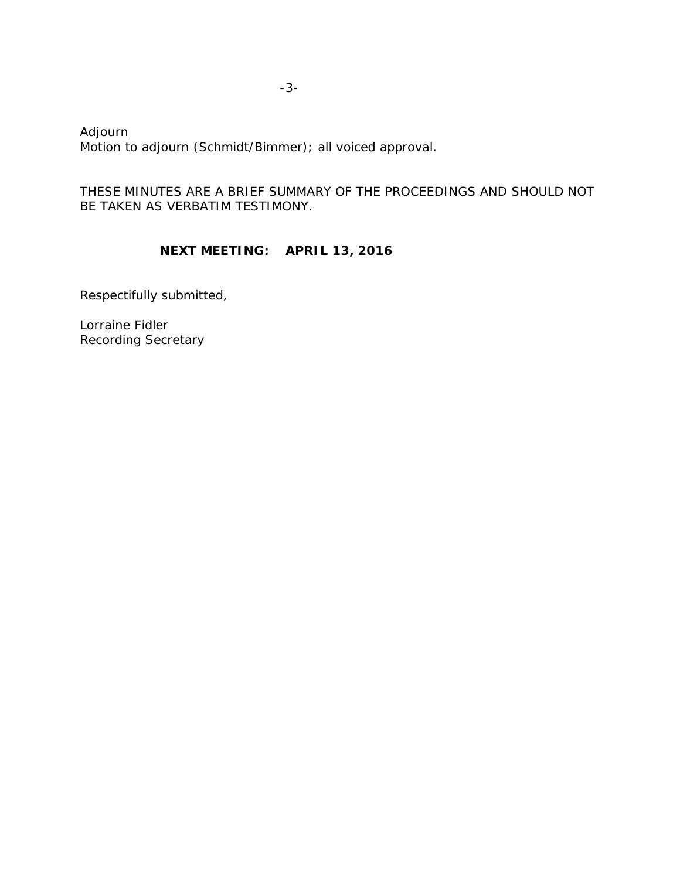Motion to adjourn (Schmidt/Bimmer); all voiced approval. Adjourn

# THESE MINUTES ARE A BRIEF SUMMARY OF THE PROCEEDINGS AND SHOULD NOT BE TAKEN AS VERBATIM TESTIMONY.

# **NEXT MEETING: APRIL 13, 2016**

Respectifully submitted,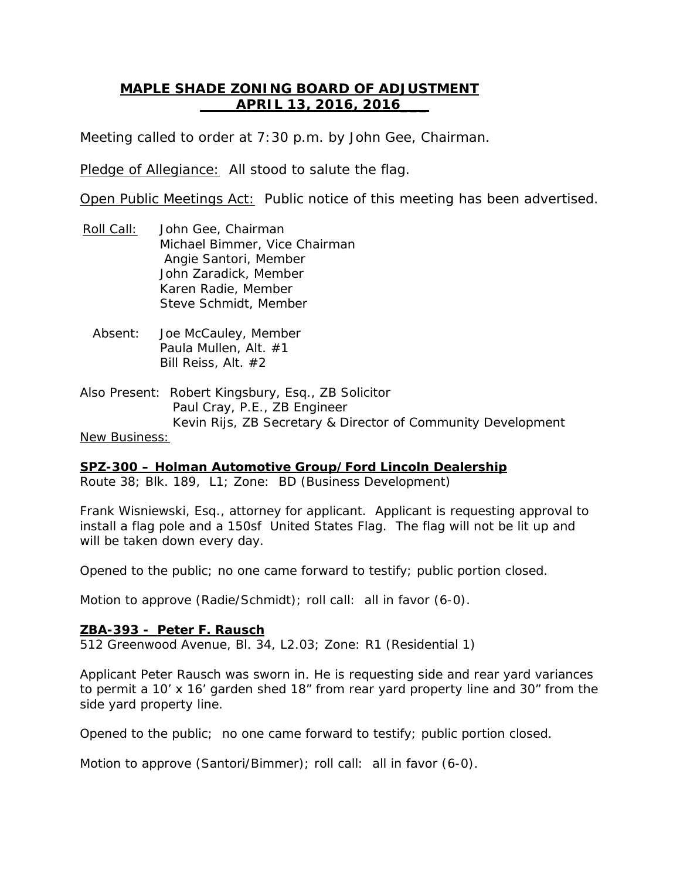# **MAPLE SHADE ZONING BOARD OF ADJUSTMENT APRIL 13, 2016, 2016\_\_\_**

Meeting called to order at 7:30 p.m. by John Gee, Chairman.

Pledge of Allegiance: All stood to salute the flag.

Open Public Meetings Act: Public notice of this meeting has been advertised.

- Roll Call: Michael Bimmer, Vice Chairman John Gee, Chairman Angie Santori, Member John Zaradick, Member Karen Radie, Member Steve Schmidt, Member
	- Absent: Joe McCauley, Member Paula Mullen, Alt. #1 Bill Reiss, Alt. #2
- Also Present: Robert Kingsbury, Esq., ZB Solicitor Paul Cray, P.E., ZB Engineer Kevin Rijs, ZB Secretary & Director of Community Development New Business:

Route 38; Blk. 189, L1; Zone: BD (Business Development) **SPZ-300 – Holman Automotive Group/Ford Lincoln Dealership**

Frank Wisniewski, Esq., attorney for applicant. Applicant is requesting approval to install a flag pole and a 150sf United States Flag. The flag will not be lit up and will be taken down every day.

Opened to the public; no one came forward to testify; public portion closed.

Motion to approve (Radie/Schmidt); roll call: all in favor (6-0).

## **ZBA-393 - Peter F. Rausch**

512 Greenwood Avenue, Bl. 34, L2.03; Zone: R1 (Residential 1)

Applicant Peter Rausch was sworn in. He is requesting side and rear yard variances to permit a 10' x 16' garden shed 18" from rear yard property line and 30" from the side yard property line.

Opened to the public; no one came forward to testify; public portion closed.

Motion to approve (Santori/Bimmer); roll call: all in favor (6-0).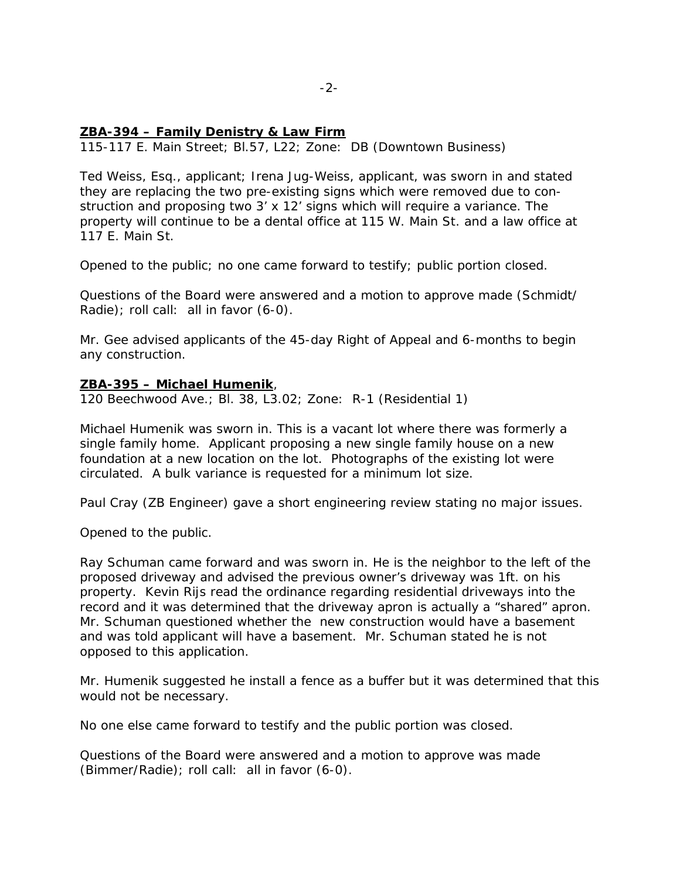#### **ZBA-394 – Family Denistry & Law Firm**

115-117 E. Main Street; Bl.57, L22; Zone: DB (Downtown Business)

Ted Weiss, Esq., applicant; Irena Jug-Weiss, applicant, was sworn in and stated they are replacing the two pre-existing signs which were removed due to construction and proposing two 3' x 12' signs which will require a variance. The property will continue to be a dental office at 115 W. Main St. and a law office at 117 E. Main St.

Opened to the public; no one came forward to testify; public portion closed.

Questions of the Board were answered and a motion to approve made (Schmidt/ Radie); roll call: all in favor (6-0).

Mr. Gee advised applicants of the 45-day Right of Appeal and 6-months to begin any construction.

#### **ZBA-395 – Michael Humenik** ,

120 Beechwood Ave.; Bl. 38, L3.02; Zone: R-1 (Residential 1)

Michael Humenik was sworn in. This is a vacant lot where there was formerly a single family home. Applicant proposing a new single family house on a new foundation at a new location on the lot. Photographs of the existing lot were circulated. A bulk variance is requested for a minimum lot size.

Paul Cray (ZB Engineer) gave a short engineering review stating no major issues.

Opened to the public.

Ray Schuman came forward and was sworn in. He is the neighbor to the left of the proposed driveway and advised the previous owner's driveway was 1ft. on his property. Kevin Rijs read the ordinance regarding residential driveways into the record and it was determined that the driveway apron is actually a "shared" apron. Mr. Schuman questioned whether the new construction would have a basement and was told applicant will have a basement. Mr. Schuman stated he is not opposed to this application.

Mr. Humenik suggested he install a fence as a buffer but it was determined that this would not be necessary.

No one else came forward to testify and the public portion was closed.

Questions of the Board were answered and a motion to approve was made (Bimmer/Radie); roll call: all in favor (6-0).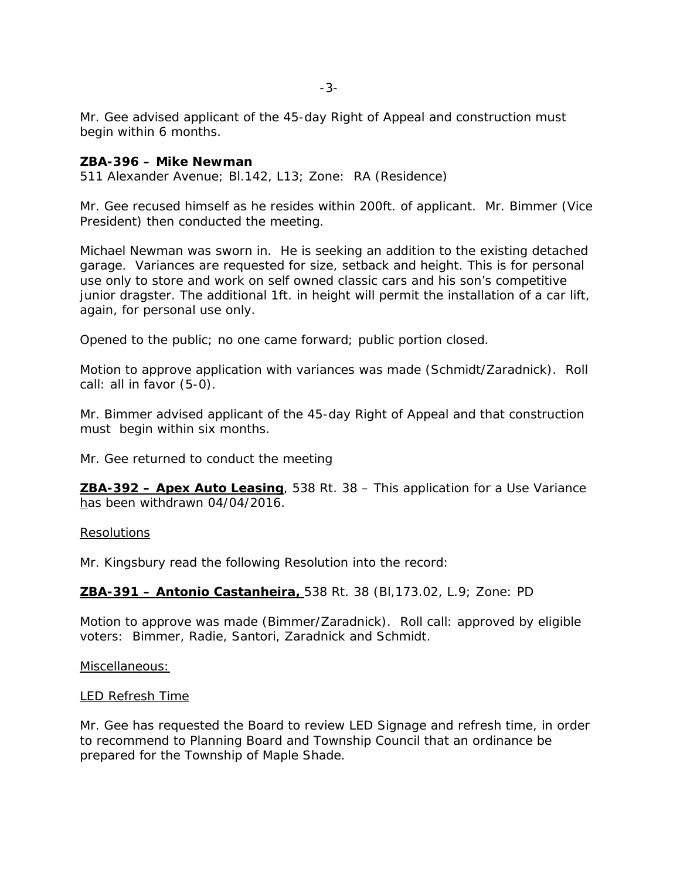Mr. Gee advised applicant of the 45-day Right of Appeal and construction must begin within 6 months.

#### **ZBA-396 – Mike Newman**

511 Alexander Avenue; Bl.142, L13; Zone: RA (Residence)

Mr. Gee recused himself as he resides within 200ft. of applicant. Mr. Bimmer (Vice President) then conducted the meeting.

Michael Newman was sworn in. He is seeking an addition to the existing detached garage. Variances are requested for size, setback and height. This is for personal use only to store and work on self owned classic cars and his son's competitive junior dragster. The additional 1ft. in height will permit the installation of a car lift, again, for personal use only.

Opened to the public; no one came forward; public portion closed.

Motion to approve application with variances was made (Schmidt/Zaradnick). Roll call: all in favor (5-0).

Mr. Bimmer advised applicant of the 45-day Right of Appeal and that construction must begin within six months.

Mr. Gee returned to conduct the meeting

**ZBA-392 – Apex Auto Leasing** , 538 Rt. 38 – This application for a Use Variance has been withdrawn 04/04/2016.

#### Resolutions

Mr. Kingsbury read the following Resolution into the record:

#### **ZBA-391 – Antonio Castanheira,** 538 Rt. 38 (Bl,173.02, L.9; Zone: PD

Motion to approve was made (Bimmer/Zaradnick). Roll call: approved by eligible voters: Bimmer, Radie, Santori, Zaradnick and Schmidt.

Miscellaneous:

#### LED Refresh Time

Mr. Gee has requested the Board to review LED Signage and refresh time, in order to recommend to Planning Board and Township Council that an ordinance be prepared for the Township of Maple Shade.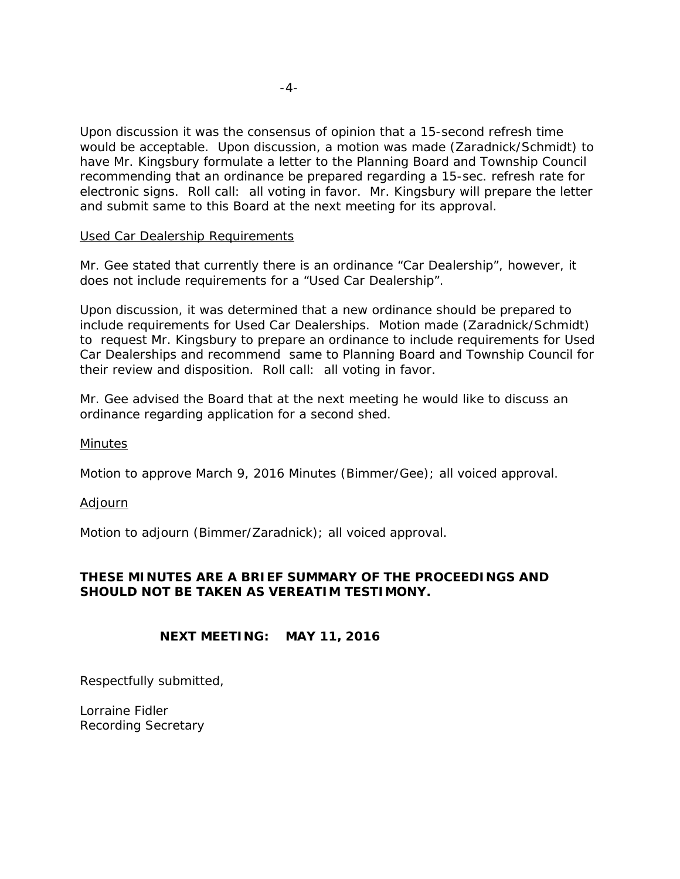Upon discussion it was the consensus of opinion that a 15-second refresh time would be acceptable. Upon discussion, a motion was made (Zaradnick/Schmidt) to have Mr. Kingsbury formulate a letter to the Planning Board and Township Council recommending that an ordinance be prepared regarding a 15-sec. refresh rate for electronic signs. Roll call: all voting in favor. Mr. Kingsbury will prepare the letter and submit same to this Board at the next meeting for its approval.

## Used Car Dealership Requirements

Mr. Gee stated that currently there is an ordinance "Car Dealership", however, it does not include requirements for a "Used Car Dealership".

Upon discussion, it was determined that a new ordinance should be prepared to include requirements for Used Car Dealerships. Motion made (Zaradnick/Schmidt) to request Mr. Kingsbury to prepare an ordinance to include requirements for Used Car Dealerships and recommend same to Planning Board and Township Council for their review and disposition. Roll call: all voting in favor.

Mr. Gee advised the Board that at the next meeting he would like to discuss an ordinance regarding application for a second shed.

## **Minutes**

Motion to approve March 9, 2016 Minutes (Bimmer/Gee); all voiced approval.

## Adjourn

Motion to adjourn (Bimmer/Zaradnick); all voiced approval.

# **THESE MINUTES ARE A BRIEF SUMMARY OF THE PROCEEDINGS AND SHOULD NOT BE TAKEN AS VEREATIM TESTIMONY.**

# **NEXT MEETING: MAY 11, 2016**

Respectfully submitted,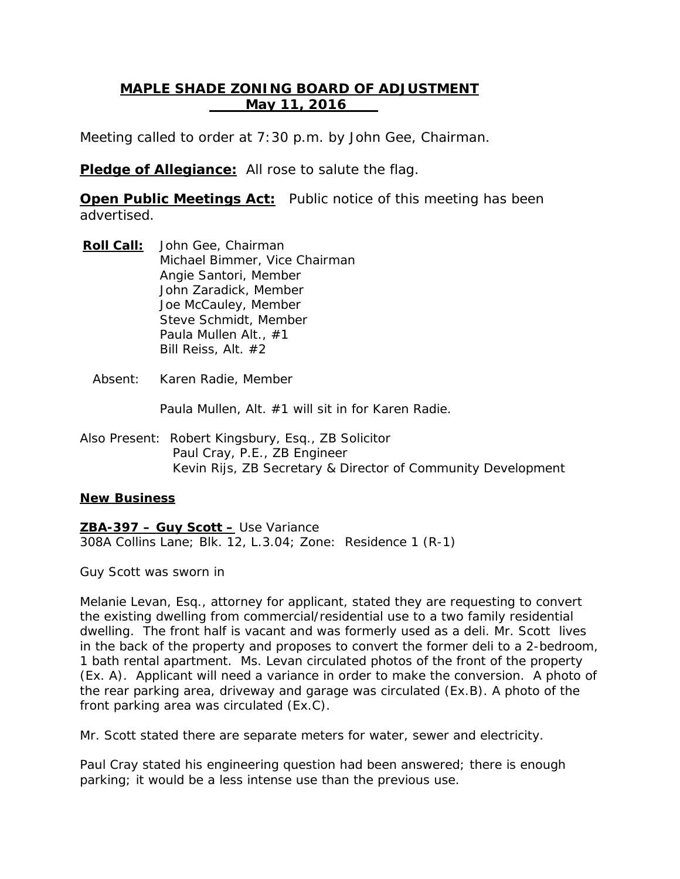# **MAPLE SHADE ZONING BOARD OF ADJUSTMENT May 11, 2016**

Meeting called to order at 7:30 p.m. by John Gee, Chairman.

**Pledge of Allegiance:** All rose to salute the flag.

**Open Public Meetings Act:** Public notice of this meeting has been advertised.

- **Roll Call:** John Gee, Chairman Michael Bimmer, Vice Chairman Angie Santori, Member John Zaradick, Member Joe McCauley, Member Steve Schmidt, Member Paula Mullen Alt., #1 Bill Reiss, Alt. #2
	- Absent: Karen Radie, Member

Paula Mullen, Alt. #1 will sit in for Karen Radie.

Also Present: Robert Kingsbury, Esq., ZB Solicitor Paul Cray, P.E., ZB Engineer Kevin Rijs, ZB Secretary & Director of Community Development

## **New Business**

**ZBA-397 – Guy Scott –** Use Variance

308A Collins Lane; Blk. 12, L.3.04; Zone: Residence 1 (R-1)

Guy Scott was sworn in

Melanie Levan, Esq., attorney for applicant, stated they are requesting to convert the existing dwelling from commercial/residential use to a two family residential dwelling. The front half is vacant and was formerly used as a deli. Mr. Scott lives in the back of the property and proposes to convert the former deli to a 2-bedroom, 1 bath rental apartment. Ms. Levan circulated photos of the front of the property (Ex. A). Applicant will need a variance in order to make the conversion. A photo of the rear parking area, driveway and garage was circulated (Ex.B). A photo of the front parking area was circulated (Ex.C).

Mr. Scott stated there are separate meters for water, sewer and electricity.

Paul Cray stated his engineering question had been answered; there is enough parking; it would be a less intense use than the previous use.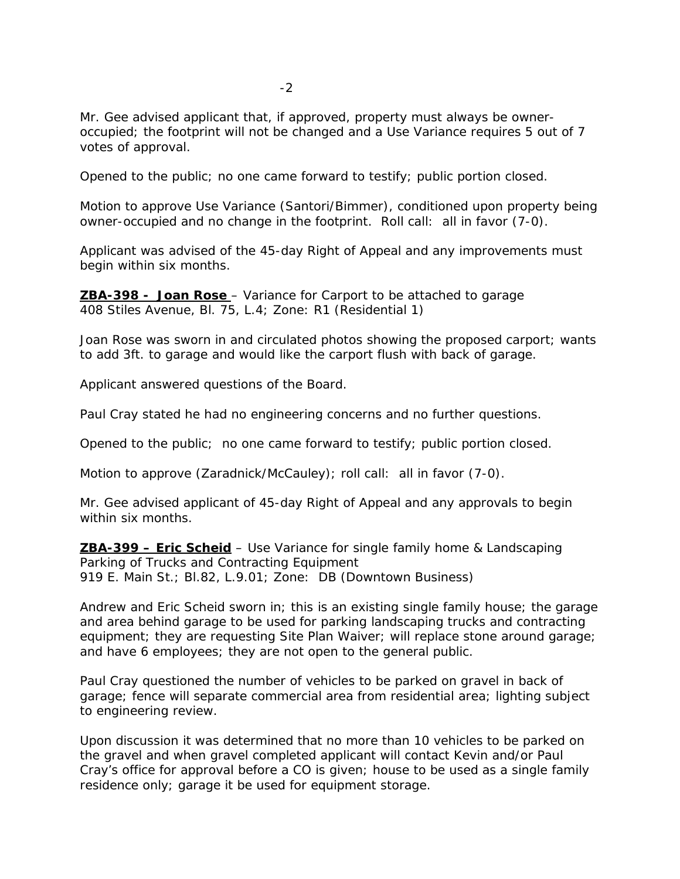Mr. Gee advised applicant that, if approved, property must always be owneroccupied; the footprint will not be changed and a Use Variance requires 5 out of 7 votes of approval.

Opened to the public; no one came forward to testify; public portion closed.

Motion to approve Use Variance (Santori/Bimmer), conditioned upon property being owner-occupied and no change in the footprint. Roll call: all in favor (7-0).

Applicant was advised of the 45-day Right of Appeal and any improvements must begin within six months.

**ZBA-398 - Joan Rose** – Variance for Carport to be attached to garage 408 Stiles Avenue, Bl. 75, L.4; Zone: R1 (Residential 1)

Joan Rose was sworn in and circulated photos showing the proposed carport; wants to add 3ft. to garage and would like the carport flush with back of garage.

Applicant answered questions of the Board.

Paul Cray stated he had no engineering concerns and no further questions.

Opened to the public; no one came forward to testify; public portion closed.

Motion to approve (Zaradnick/McCauley); roll call: all in favor (7-0).

Mr. Gee advised applicant of 45-day Right of Appeal and any approvals to begin within six months.

**ZBA-399 – Eric Scheid** – Use Variance for single family home & Landscaping 919 E. Main St.; Bl.82, L.9.01; Zone: DB (Downtown Business) Parking of Trucks and Contracting Equipment

Andrew and Eric Scheid sworn in; this is an existing single family house; the garage and area behind garage to be used for parking landscaping trucks and contracting equipment; they are requesting Site Plan Waiver; will replace stone around garage; and have 6 employees; they are not open to the general public.

Paul Cray questioned the number of vehicles to be parked on gravel in back of garage; fence will separate commercial area from residential area; lighting subject to engineering review.

Upon discussion it was determined that no more than 10 vehicles to be parked on the gravel and when gravel completed applicant will contact Kevin and/or Paul Cray's office for approval before a CO is given; house to be used as a single family residence only; garage it be used for equipment storage.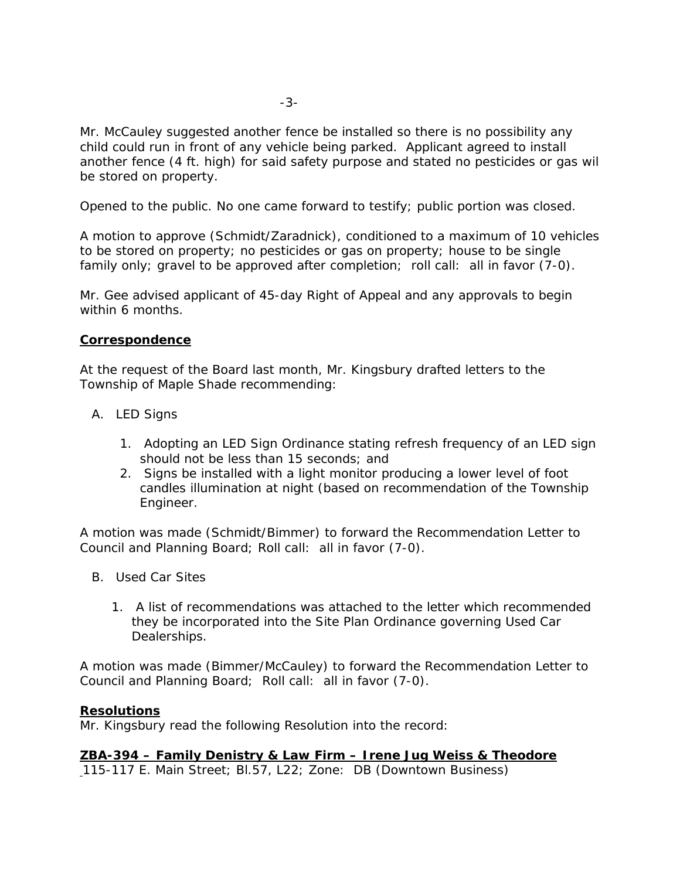Mr. McCauley suggested another fence be installed so there is no possibility any child could run in front of any vehicle being parked. Applicant agreed to install another fence (4 ft. high) for said safety purpose and stated no pesticides or gas wil be stored on property.

Opened to the public. No one came forward to testify; public portion was closed.

A motion to approve (Schmidt/Zaradnick), conditioned to a maximum of 10 vehicles to be stored on property; no pesticides or gas on property; house to be single family only; gravel to be approved after completion; roll call: all in favor (7-0).

Mr. Gee advised applicant of 45-day Right of Appeal and any approvals to begin within 6 months.

## **Correspondence**

At the request of the Board last month, Mr. Kingsbury drafted letters to the Township of Maple Shade recommending:

- A. LED Signs
	- 1. Adopting an LED Sign Ordinance stating refresh frequency of an LED sign should not be less than 15 seconds; and
	- 2. Signs be installed with a light monitor producing a lower level of foot candles illumination at night (based on recommendation of the Township Engineer.

A motion was made (Schmidt/Bimmer) to forward the Recommendation Letter to Council and Planning Board; Roll call: all in favor (7-0).

- B. Used Car Sites
	- 1. A list of recommendations was attached to the letter which recommended they be incorporated into the Site Plan Ordinance governing Used Car Dealerships.

A motion was made (Bimmer/McCauley) to forward the Recommendation Letter to Council and Planning Board; Roll call: all in favor (7-0).

## **Resolutions**

Mr. Kingsbury read the following Resolution into the record:

**ZBA-394 – Family Denistry & Law Firm – Irene Jug Weiss & Theodore**

115-117 E. Main Street; Bl.57, L22; Zone: DB (Downtown Business)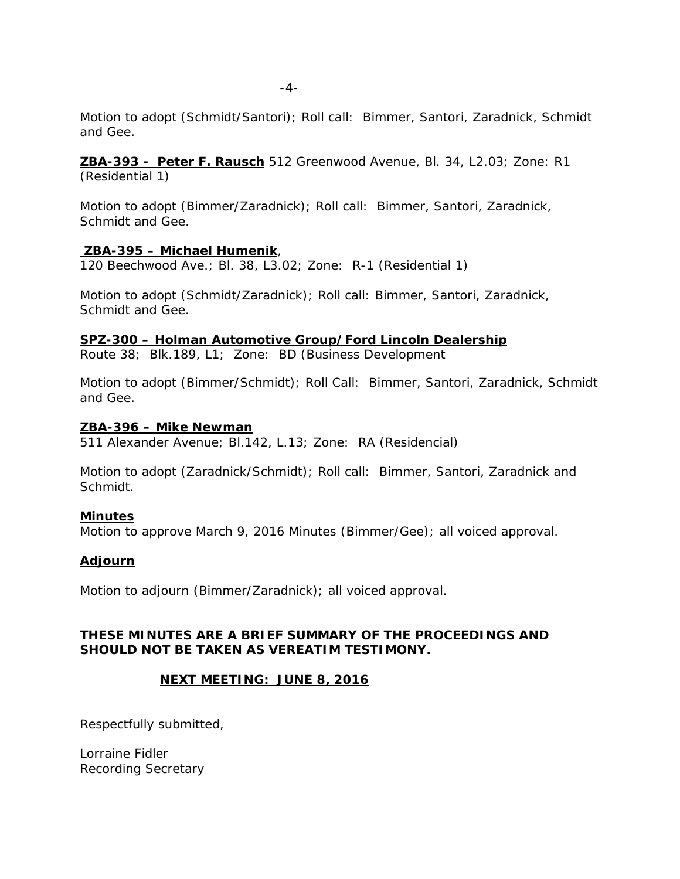Motion to adopt (Schmidt/Santori); Roll call: Bimmer, Santori, Zaradnick, Schmidt and Gee.

**ZBA-393 - Peter F. Rausch** 512 Greenwood Avenue, Bl. 34, L2.03; Zone: R1 (Residential 1)

Motion to adopt (Bimmer/Zaradnick); Roll call: Bimmer, Santori, Zaradnick, Schmidt and Gee.

## **ZBA-395 – Michael Humenik** ,

120 Beechwood Ave.; Bl. 38, L3.02; Zone: R-1 (Residential 1)

Motion to adopt (Schmidt/Zaradnick); Roll call: Bimmer, Santori, Zaradnick, Schmidt and Gee.

**SPZ-300 – Holman Automotive Group/Ford Lincoln Dealership**

Route 38; Blk.189, L1; Zone: BD (Business Development

Motion to adopt (Bimmer/Schmidt); Roll Call: Bimmer, Santori, Zaradnick, Schmidt and Gee.

#### **ZBA-396 – Mike Newman**

511 Alexander Avenue; Bl.142, L.13; Zone: RA (Residencial)

Motion to adopt (Zaradnick/Schmidt); Roll call: Bimmer, Santori, Zaradnick and Schmidt.

## **Minutes**

Motion to approve March 9, 2016 Minutes (Bimmer/Gee); all voiced approval.

## **Adjourn**

Motion to adjourn (Bimmer/Zaradnick); all voiced approval.

# **THESE MINUTES ARE A BRIEF SUMMARY OF THE PROCEEDINGS AND SHOULD NOT BE TAKEN AS VEREATIM TESTIMONY.**

## **NEXT MEETING: JUNE 8, 2016**

Respectfully submitted,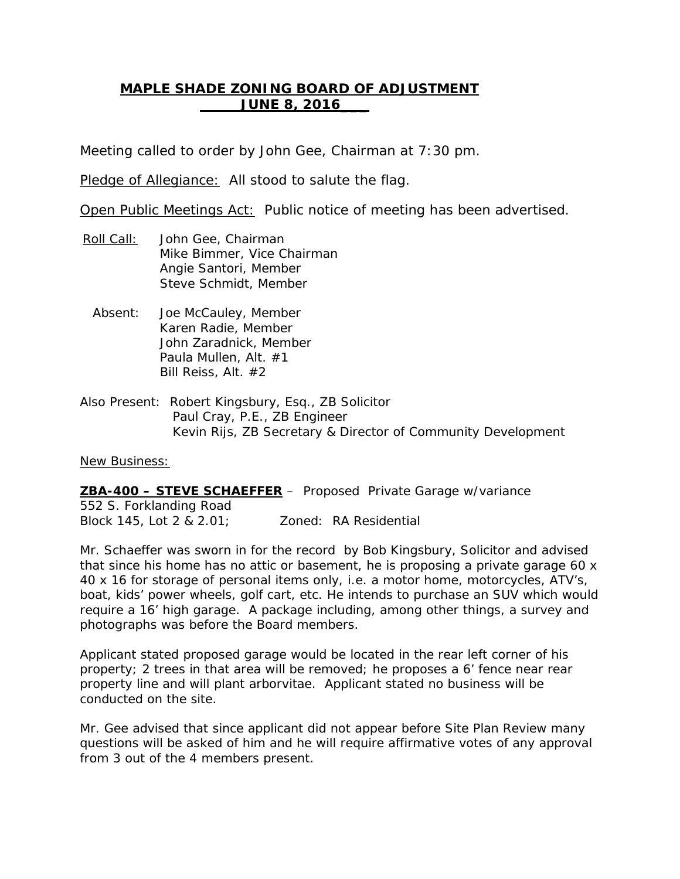# **MAPLE SHADE ZONING BOARD OF ADJUSTMENT JUNE 8, 2016\_\_\_**

Meeting called to order by John Gee, Chairman at 7:30 pm.

Pledge of Allegiance: All stood to salute the flag.

Open Public Meetings Act: Public notice of meeting has been advertised.

- Roll Call: Mike Bimmer, Vice Chairman John Gee, Chairman Angie Santori, Member Steve Schmidt, Member
	- Absent: Joe McCauley, Member Karen Radie, Member John Zaradnick, Member Paula Mullen, Alt. #1 Bill Reiss, Alt. #2
- Also Present: Robert Kingsbury, Esq., ZB Solicitor Paul Cray, P.E., ZB Engineer Kevin Rijs, ZB Secretary & Director of Community Development

New Business:

**ZBA-400 – STEVE SCHAEFFER** – Proposed Private Garage w/variance 552 S. Forklanding Road Block 145, Lot 2 & 2.01; Zoned: RA Residential

Mr. Schaeffer was sworn in for the record by Bob Kingsbury, Solicitor and advised that since his home has no attic or basement, he is proposing a private garage 60 x 40 x 16 for storage of personal items only, i.e. a motor home, motorcycles, ATV's, boat, kids' power wheels, golf cart, etc. He intends to purchase an SUV which would require a 16' high garage. A package including, among other things, a survey and photographs was before the Board members.

Applicant stated proposed garage would be located in the rear left corner of his property; 2 trees in that area will be removed; he proposes a 6' fence near rear property line and will plant arborvitae. Applicant stated no business will be conducted on the site.

Mr. Gee advised that since applicant did not appear before Site Plan Review many questions will be asked of him and he will require affirmative votes of any approval from 3 out of the 4 members present.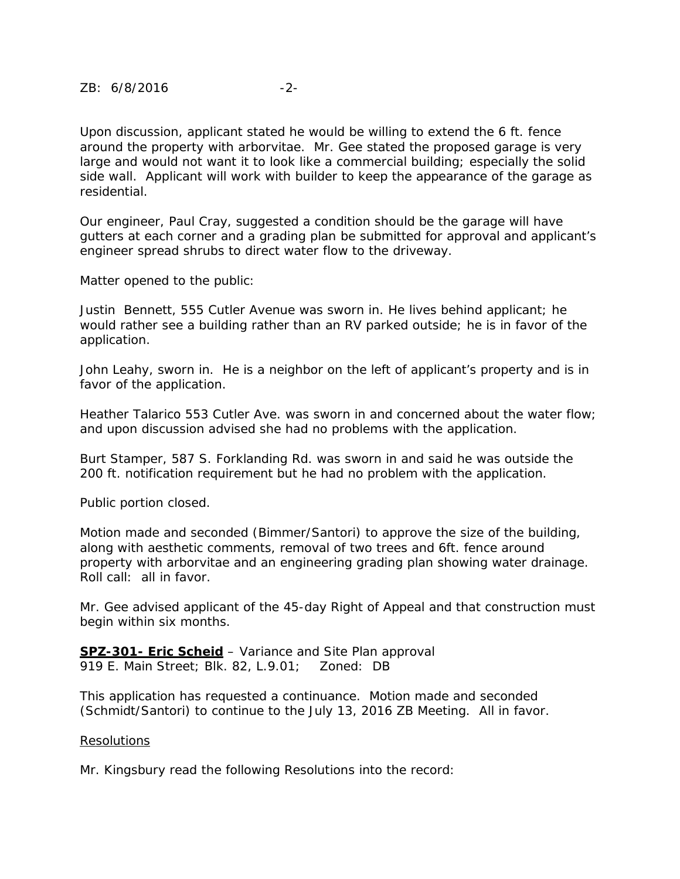Upon discussion, applicant stated he would be willing to extend the 6 ft. fence around the property with arborvitae. Mr. Gee stated the proposed garage is very large and would not want it to look like a commercial building; especially the solid side wall. Applicant will work with builder to keep the appearance of the garage as residential.

Our engineer, Paul Cray, suggested a condition should be the garage will have gutters at each corner and a grading plan be submitted for approval and applicant's engineer spread shrubs to direct water flow to the driveway.

Matter opened to the public:

Justin Bennett, 555 Cutler Avenue was sworn in. He lives behind applicant; he would rather see a building rather than an RV parked outside; he is in favor of the application.

John Leahy, sworn in. He is a neighbor on the left of applicant's property and is in favor of the application.

Heather Talarico 553 Cutler Ave. was sworn in and concerned about the water flow; and upon discussion advised she had no problems with the application.

Burt Stamper, 587 S. Forklanding Rd. was sworn in and said he was outside the 200 ft. notification requirement but he had no problem with the application.

Public portion closed.

Motion made and seconded (Bimmer/Santori) to approve the size of the building, along with aesthetic comments, removal of two trees and 6ft. fence around property with arborvitae and an engineering grading plan showing water drainage. Roll call: all in favor.

Mr. Gee advised applicant of the 45-day Right of Appeal and that construction must begin within six months.

**SPZ-301- Eric Scheid** – Variance and Site Plan approval 919 E. Main Street; Blk. 82, L.9.01; Zoned: DB

This application has requested a continuance. Motion made and seconded (Schmidt/Santori) to continue to the July 13, 2016 ZB Meeting. All in favor.

## Resolutions

Mr. Kingsbury read the following Resolutions into the record: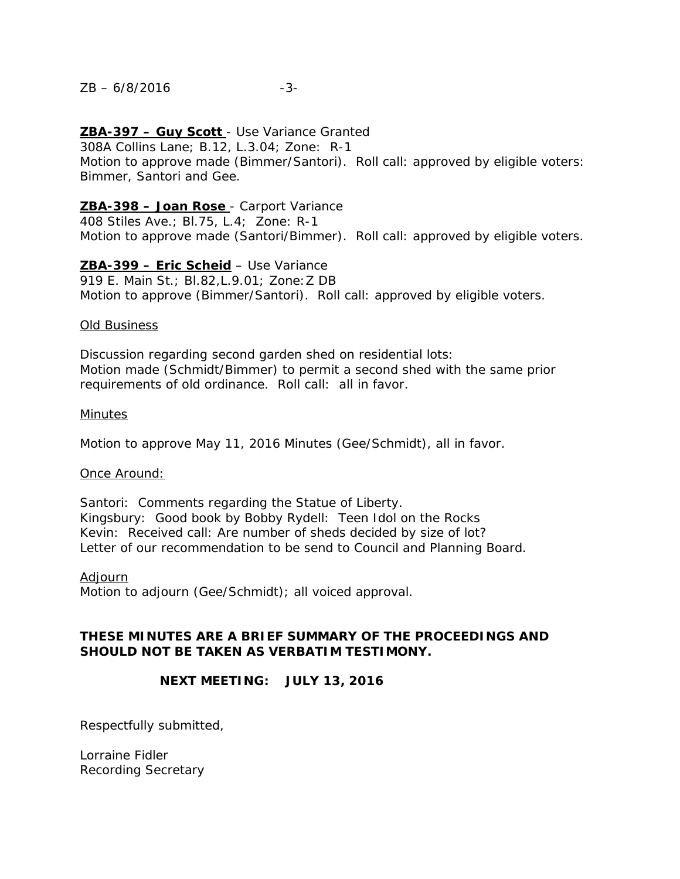#### $ZB - 6/8/2016$  -3-

## **ZBA-397 – Guy Scott**  - Use Variance Granted

308A Collins Lane; B.12, L.3.04; Zone: R-1 Motion to approve made (Bimmer/Santori). Roll call: approved by eligible voters: Bimmer, Santori and Gee.

## **ZBA-398 – Joan Rose**  - Carport Variance

408 Stiles Ave.; Bl.75, L.4; Zone: R-1 Motion to approve made (Santori/Bimmer). Roll call: approved by eligible voters.

# **ZBA-399 – Eric Scheid** – Use Variance

919 E. Main St.; Bl.82,L.9.01; Zone:Z DB Motion to approve (Bimmer/Santori). Roll call: approved by eligible voters.

#### Old Business

Discussion regarding second garden shed on residential lots: Motion made (Schmidt/Bimmer) to permit a second shed with the same prior requirements of old ordinance. Roll call: all in favor.

#### Minutes

Motion to approve May 11, 2016 Minutes (Gee/Schmidt), all in favor.

#### Once Around:

Santori: Comments regarding the Statue of Liberty. Kingsbury: Good book by Bobby Rydell: Teen Idol on the Rocks Kevin: Received call: Are number of sheds decided by size of lot? Letter of our recommendation to be send to Council and Planning Board.

Motion to adjourn (Gee/Schmidt); all voiced approval. Adjourn

# **THESE MINUTES ARE A BRIEF SUMMARY OF THE PROCEEDINGS AND SHOULD NOT BE TAKEN AS VERBATIM TESTIMONY.**

## **NEXT MEETING: JULY 13, 2016**

Respectfully submitted,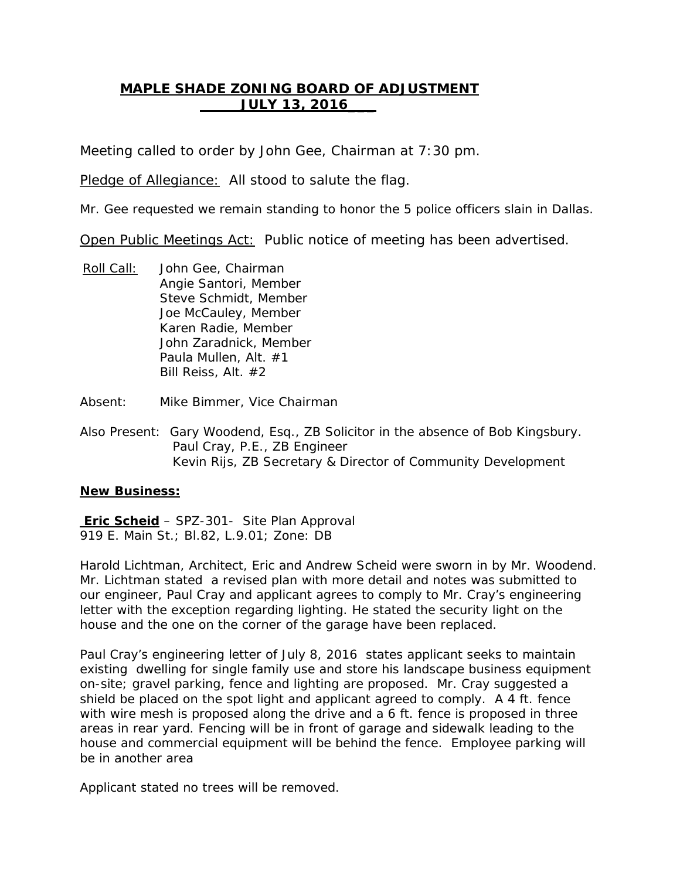# **MAPLE SHADE ZONING BOARD OF ADJUSTMENT JULY 13, 2016\_\_\_**

Meeting called to order by John Gee, Chairman at 7:30 pm.

Pledge of Allegiance: All stood to salute the flag.

Mr. Gee requested we remain standing to honor the 5 police officers slain in Dallas.

Open Public Meetings Act: Public notice of meeting has been advertised.

- Roll Call: Angie Santori, Member John Gee, Chairman Steve Schmidt, Member Joe McCauley, Member Karen Radie, Member John Zaradnick, Member Paula Mullen, Alt. #1 Bill Reiss, Alt. #2
- Absent: Mike Bimmer, Vice Chairman
- Also Present: Gary Woodend, Esq., ZB Solicitor in the absence of Bob Kingsbury. Paul Cray, P.E., ZB Engineer Kevin Rijs, ZB Secretary & Director of Community Development

## **New Business:**

**Eric Scheid** – SPZ-301- Site Plan Approval 919 E. Main St.; Bl.82, L.9.01; Zone: DB

Harold Lichtman, Architect, Eric and Andrew Scheid were sworn in by Mr. Woodend. Mr. Lichtman stated a revised plan with more detail and notes was submitted to our engineer, Paul Cray and applicant agrees to comply to Mr. Cray's engineering letter with the exception regarding lighting. He stated the security light on the house and the one on the corner of the garage have been replaced.

Paul Cray's engineering letter of July 8, 2016 states applicant seeks to maintain existing dwelling for single family use and store his landscape business equipment on-site; gravel parking, fence and lighting are proposed. Mr. Cray suggested a shield be placed on the spot light and applicant agreed to comply. A 4 ft. fence with wire mesh is proposed along the drive and a 6 ft. fence is proposed in three areas in rear yard. Fencing will be in front of garage and sidewalk leading to the house and commercial equipment will be behind the fence. Employee parking will be in another area

Applicant stated no trees will be removed.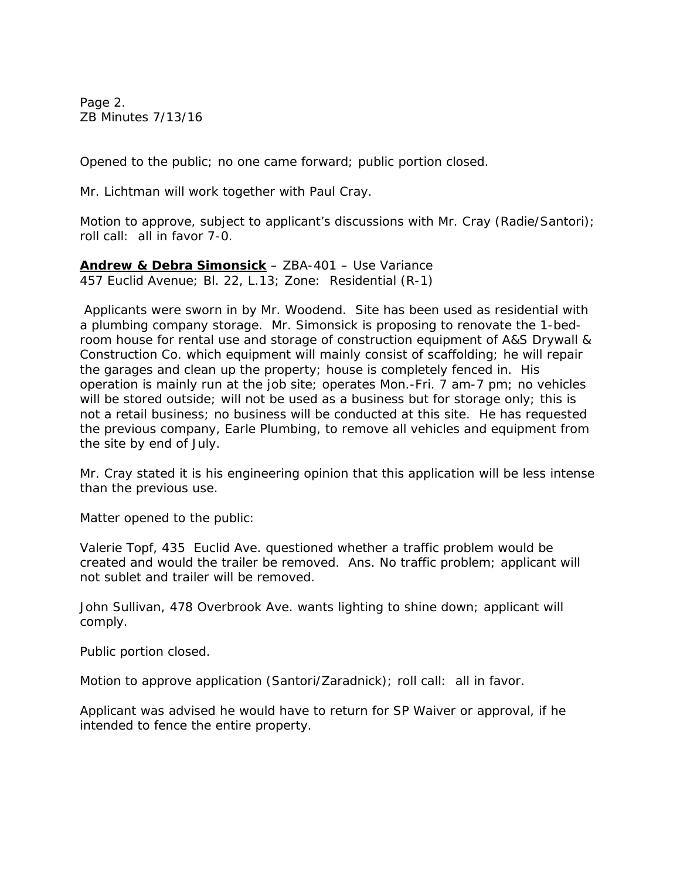Page 2. ZB Minutes 7/13/16

Opened to the public; no one came forward; public portion closed.

Mr. Lichtman will work together with Paul Cray.

Motion to approve, subject to applicant's discussions with Mr. Cray (Radie/Santori); roll call: all in favor 7-0.

**Andrew & Debra Simonsick** – ZBA-401 – Use Variance 457 Euclid Avenue; Bl. 22, L.13; Zone: Residential (R-1)

Applicants were sworn in by Mr. Woodend. Site has been used as residential with a plumbing company storage. Mr. Simonsick is proposing to renovate the 1-bedroom house for rental use and storage of construction equipment of A&S Drywall & Construction Co. which equipment will mainly consist of scaffolding; he will repair the garages and clean up the property; house is completely fenced in. His operation is mainly run at the job site; operates Mon.-Fri. 7 am-7 pm; no vehicles will be stored outside; will not be used as a business but for storage only; this is not a retail business; no business will be conducted at this site. He has requested the previous company, Earle Plumbing, to remove all vehicles and equipment from the site by end of July.

Mr. Cray stated it is his engineering opinion that this application will be less intense than the previous use.

Matter opened to the public:

Valerie Topf, 435 Euclid Ave. questioned whether a traffic problem would be created and would the trailer be removed. Ans. No traffic problem; applicant will not sublet and trailer will be removed.

John Sullivan, 478 Overbrook Ave. wants lighting to shine down; applicant will comply.

Public portion closed.

Motion to approve application (Santori/Zaradnick); roll call: all in favor.

Applicant was advised he would have to return for SP Waiver or approval, if he intended to fence the entire property.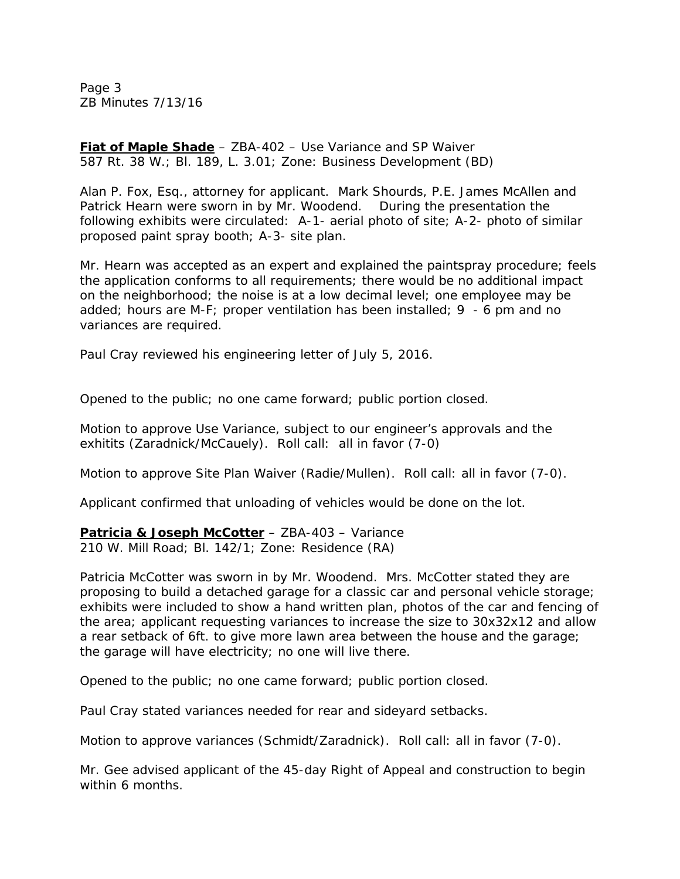Page 3 ZB Minutes 7/13/16

**Fiat of Maple Shade** – ZBA-402 – Use Variance and SP Waiver 587 Rt. 38 W.; Bl. 189, L. 3.01; Zone: Business Development (BD)

Alan P. Fox, Esq., attorney for applicant. Mark Shourds, P.E. James McAllen and Patrick Hearn were sworn in by Mr. Woodend. During the presentation the following exhibits were circulated: A-1- aerial photo of site; A-2- photo of similar proposed paint spray booth; A-3- site plan.

Mr. Hearn was accepted as an expert and explained the paintspray procedure; feels the application conforms to all requirements; there would be no additional impact on the neighborhood; the noise is at a low decimal level; one employee may be added; hours are M-F; proper ventilation has been installed; 9 - 6 pm and no variances are required.

Paul Cray reviewed his engineering letter of July 5, 2016.

Opened to the public; no one came forward; public portion closed.

Motion to approve Use Variance, subject to our engineer's approvals and the exhitits (Zaradnick/McCauely). Roll call: all in favor (7-0)

Motion to approve Site Plan Waiver (Radie/Mullen). Roll call: all in favor (7-0).

Applicant confirmed that unloading of vehicles would be done on the lot.

**Patricia & Joseph McCotter** – ZBA-403 – Variance

210 W. Mill Road; Bl. 142/1; Zone: Residence (RA)

Patricia McCotter was sworn in by Mr. Woodend. Mrs. McCotter stated they are proposing to build a detached garage for a classic car and personal vehicle storage; exhibits were included to show a hand written plan, photos of the car and fencing of the area; applicant requesting variances to increase the size to 30x32x12 and allow a rear setback of 6ft. to give more lawn area between the house and the garage; the garage will have electricity; no one will live there.

Opened to the public; no one came forward; public portion closed.

Paul Cray stated variances needed for rear and sideyard setbacks.

Motion to approve variances (Schmidt/Zaradnick). Roll call: all in favor (7-0).

Mr. Gee advised applicant of the 45-day Right of Appeal and construction to begin within 6 months.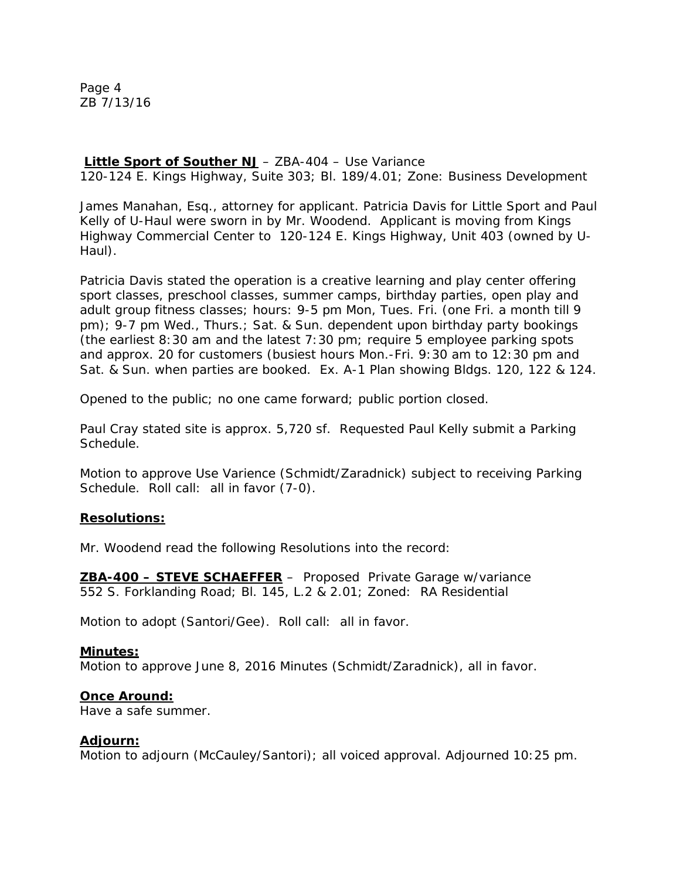Page 4 ZB 7/13/16

# **Little Sport of Souther NJ** – ZBA-404 – Use Variance

120-124 E. Kings Highway, Suite 303; Bl. 189/4.01; Zone: Business Development

James Manahan, Esq., attorney for applicant. Patricia Davis for Little Sport and Paul Kelly of U-Haul were sworn in by Mr. Woodend. Applicant is moving from Kings Highway Commercial Center to 120-124 E. Kings Highway, Unit 403 (owned by U-Haul).

Patricia Davis stated the operation is a creative learning and play center offering sport classes, preschool classes, summer camps, birthday parties, open play and adult group fitness classes; hours: 9-5 pm Mon, Tues. Fri. (one Fri. a month till 9 pm); 9-7 pm Wed., Thurs.; Sat. & Sun. dependent upon birthday party bookings (the earliest 8:30 am and the latest 7:30 pm; require 5 employee parking spots and approx. 20 for customers (busiest hours Mon.-Fri. 9:30 am to 12:30 pm and Sat. & Sun. when parties are booked. Ex. A-1 Plan showing Bldgs. 120, 122 & 124.

Opened to the public; no one came forward; public portion closed.

Paul Cray stated site is approx. 5,720 sf. Requested Paul Kelly submit a Parking Schedule.

Motion to approve Use Varience (Schmidt/Zaradnick) subject to receiving Parking Schedule. Roll call: all in favor (7-0).

## **Resolutions:**

Mr. Woodend read the following Resolutions into the record:

**ZBA-400 – STEVE SCHAEFFER** – Proposed Private Garage w/variance 552 S. Forklanding Road; Bl. 145, L.2 & 2.01; Zoned: RA Residential

Motion to adopt (Santori/Gee). Roll call: all in favor.

#### **Minutes:**

Motion to approve June 8, 2016 Minutes (Schmidt/Zaradnick), all in favor.

#### **Once Around:**

Have a safe summer.

#### **Adjourn:**

Motion to adjourn (McCauley/Santori); all voiced approval. Adjourned 10:25 pm.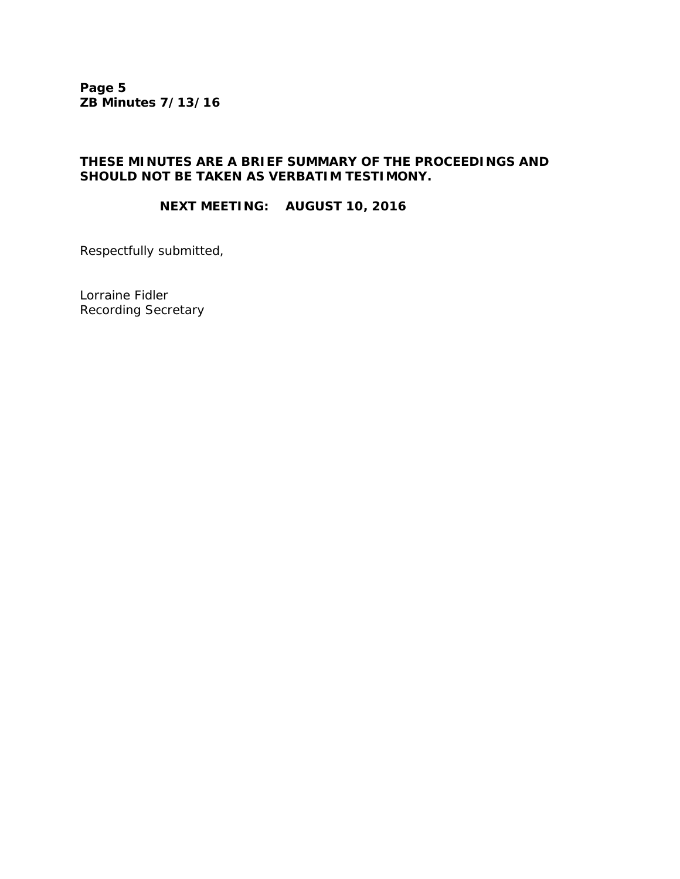**Page 5 ZB Minutes 7/13/16**

## **THESE MINUTES ARE A BRIEF SUMMARY OF THE PROCEEDINGS AND SHOULD NOT BE TAKEN AS VERBATIM TESTIMONY.**

# **NEXT MEETING: AUGUST 10, 2016**

Respectfully submitted,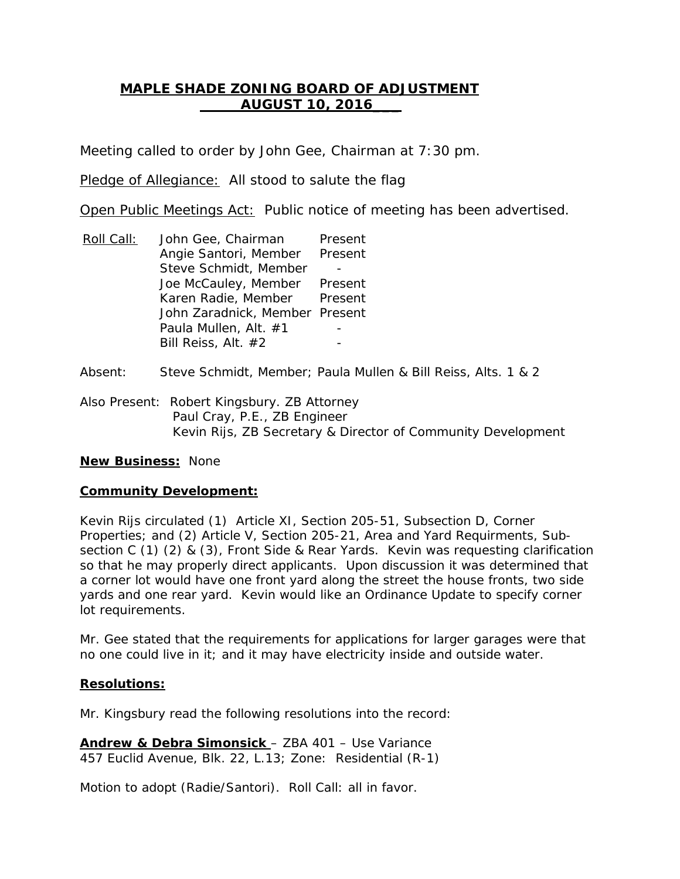# **MAPLE SHADE ZONING BOARD OF ADJUSTMENT AUGUST 10, 2016\_\_\_**

Meeting called to order by John Gee, Chairman at 7:30 pm.

Pledge of Allegiance: All stood to salute the flag

Open Public Meetings Act: Public notice of meeting has been advertised.

- Roll Call: Angie Santori, Member Present John Gee, Chairman Present Steve Schmidt, Member Joe McCauley, Member Present Karen Radie, Member Present John Zaradnick, Member Present Paula Mullen, Alt. #1 Bill Reiss, Alt. #2
- Absent: Steve Schmidt, Member; Paula Mullen & Bill Reiss, Alts. 1 & 2
- Also Present: Robert Kingsbury. ZB Attorney Paul Cray, P.E., ZB Engineer Kevin Rijs, ZB Secretary & Director of Community Development

# **New Business:** None

## **Community Development:**

Kevin Rijs circulated (1) Article XI, Section 205-51, Subsection D, Corner Properties; and (2) Article V, Section 205-21, Area and Yard Requirments, Subsection C (1) (2) & (3), Front Side & Rear Yards. Kevin was requesting clarification so that he may properly direct applicants. Upon discussion it was determined that a corner lot would have one front yard along the street the house fronts, two side yards and one rear yard. Kevin would like an Ordinance Update to specify corner lot requirements.

Mr. Gee stated that the requirements for applications for larger garages were that no one could live in it; and it may have electricity inside and outside water.

## **Resolutions:**

Mr. Kingsbury read the following resolutions into the record:

**Andrew & Debra Simonsick**  – ZBA 401 – Use Variance 457 Euclid Avenue, Blk. 22, L.13; Zone: Residential (R-1)

Motion to adopt (Radie/Santori). Roll Call: all in favor.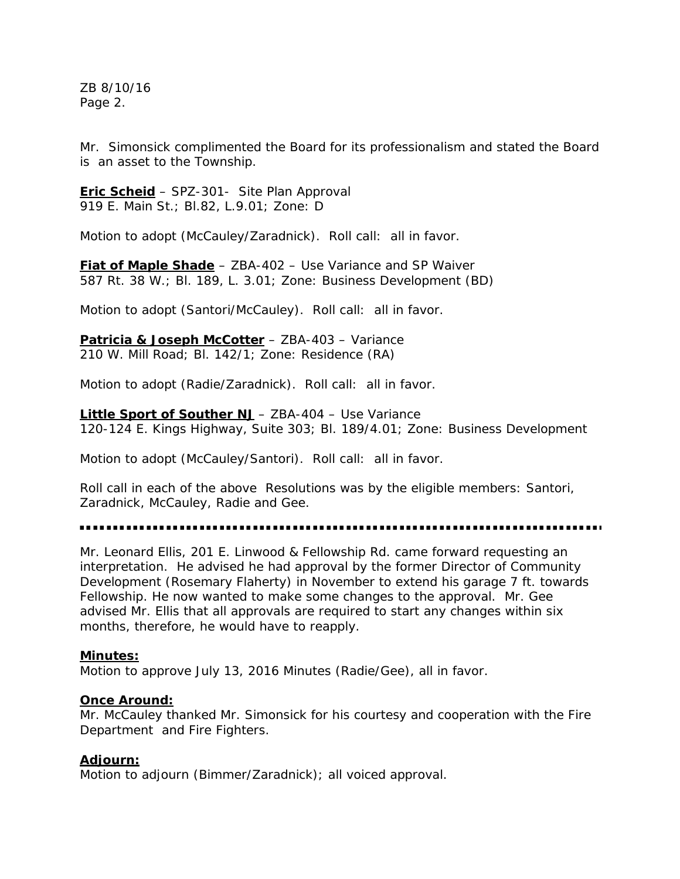ZB 8/10/16 Page 2.

Mr. Simonsick complimented the Board for its professionalism and stated the Board is an asset to the Township.

**Eric Scheid** – SPZ-301- Site Plan Approval 919 E. Main St.; Bl.82, L.9.01; Zone: D

Motion to adopt (McCauley/Zaradnick). Roll call: all in favor.

**Fiat of Maple Shade** – ZBA-402 – Use Variance and SP Waiver 587 Rt. 38 W.; Bl. 189, L. 3.01; Zone: Business Development (BD)

Motion to adopt (Santori/McCauley). Roll call: all in favor.

**Patricia & Joseph McCotter** – ZBA-403 – Variance 210 W. Mill Road; Bl. 142/1; Zone: Residence (RA)

Motion to adopt (Radie/Zaradnick). Roll call: all in favor.

**Little Sport of Souther NJ** – ZBA-404 – Use Variance 120-124 E. Kings Highway, Suite 303; Bl. 189/4.01; Zone: Business Development

Motion to adopt (McCauley/Santori). Roll call: all in favor.

Roll call in each of the above Resolutions was by the eligible members: Santori, Zaradnick, McCauley, Radie and Gee.

Mr. Leonard Ellis, 201 E. Linwood & Fellowship Rd. came forward requesting an interpretation. He advised he had approval by the former Director of Community Development (Rosemary Flaherty) in November to extend his garage 7 ft. towards Fellowship. He now wanted to make some changes to the approval. Mr. Gee advised Mr. Ellis that all approvals are required to start any changes within six months, therefore, he would have to reapply.

#### **Minutes:**

Motion to approve July 13, 2016 Minutes (Radie/Gee), all in favor.

#### **Once Around:**

Mr. McCauley thanked Mr. Simonsick for his courtesy and cooperation with the Fire Department and Fire Fighters.

## **Adjourn:**

Motion to adjourn (Bimmer/Zaradnick); all voiced approval.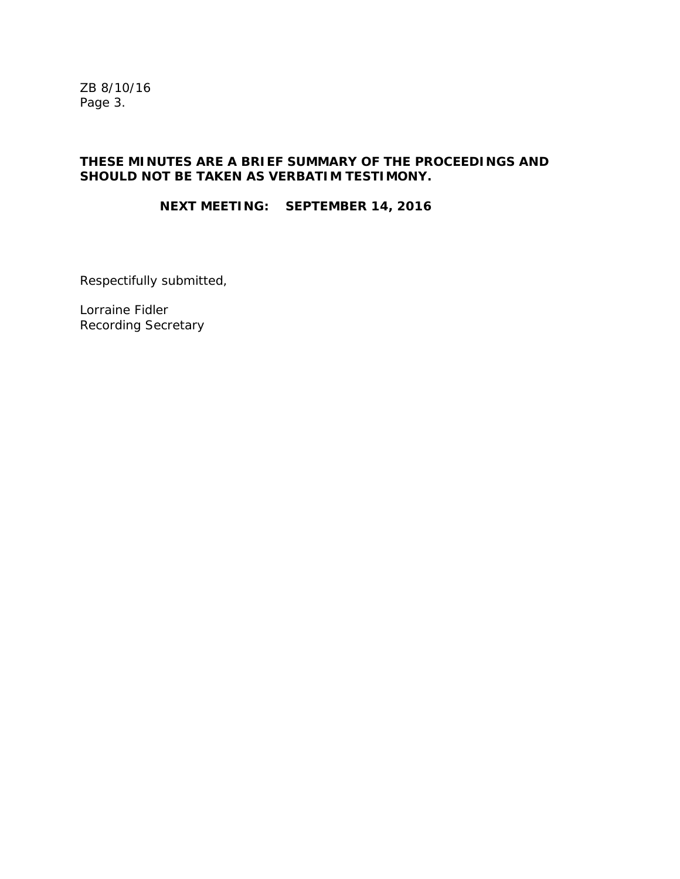ZB 8/10/16 Page 3.

## **THESE MINUTES ARE A BRIEF SUMMARY OF THE PROCEEDINGS AND SHOULD NOT BE TAKEN AS VERBATIM TESTIMONY.**

# **NEXT MEETING: SEPTEMBER 14, 2016**

Respectifully submitted,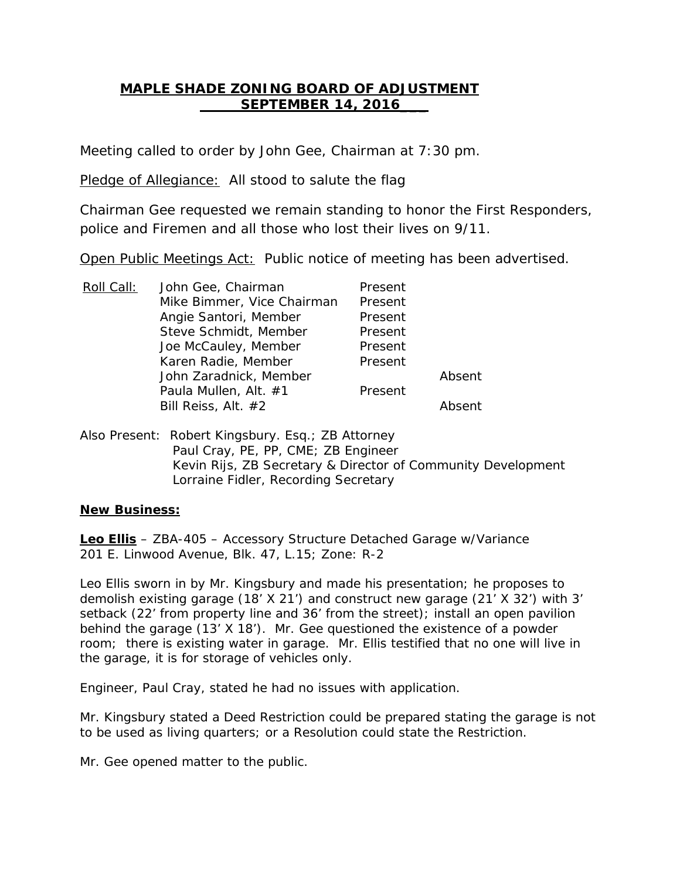# **MAPLE SHADE ZONING BOARD OF ADJUSTMENT SEPTEMBER 14, 2016\_\_\_**

Meeting called to order by John Gee, Chairman at 7:30 pm.

Pledge of Allegiance: All stood to salute the flag

Chairman Gee requested we remain standing to honor the First Responders, police and Firemen and all those who lost their lives on 9/11.

Open Public Meetings Act: Public notice of meeting has been advertised.

| Roll Call: | John Gee, Chairman         | Present |        |
|------------|----------------------------|---------|--------|
|            | Mike Bimmer, Vice Chairman | Present |        |
|            | Angie Santori, Member      | Present |        |
|            | Steve Schmidt, Member      | Present |        |
|            | Joe McCauley, Member       | Present |        |
|            | Karen Radie, Member        | Present |        |
|            | John Zaradnick, Member     |         | Absent |
|            | Paula Mullen, Alt. #1      | Present |        |
|            | Bill Reiss, Alt. #2        |         | Ahsent |

Also Present: Robert Kingsbury. Esq.; ZB Attorney Paul Cray, PE, PP, CME; ZB Engineer Kevin Rijs, ZB Secretary & Director of Community Development Lorraine Fidler, Recording Secretary

## **New Business:**

**Leo Ellis** – ZBA-405 – Accessory Structure Detached Garage w/Variance 201 E. Linwood Avenue, Blk. 47, L.15; Zone: R-2

Leo Ellis sworn in by Mr. Kingsbury and made his presentation; he proposes to demolish existing garage (18' X 21') and construct new garage (21' X 32') with 3' setback (22' from property line and 36' from the street); install an open pavilion behind the garage (13' X 18'). Mr. Gee questioned the existence of a powder room; there is existing water in garage. Mr. Ellis testified that no one will live in the garage, it is for storage of vehicles only.

Engineer, Paul Cray, stated he had no issues with application.

Mr. Kingsbury stated a Deed Restriction could be prepared stating the garage is not to be used as living quarters; or a Resolution could state the Restriction.

Mr. Gee opened matter to the public.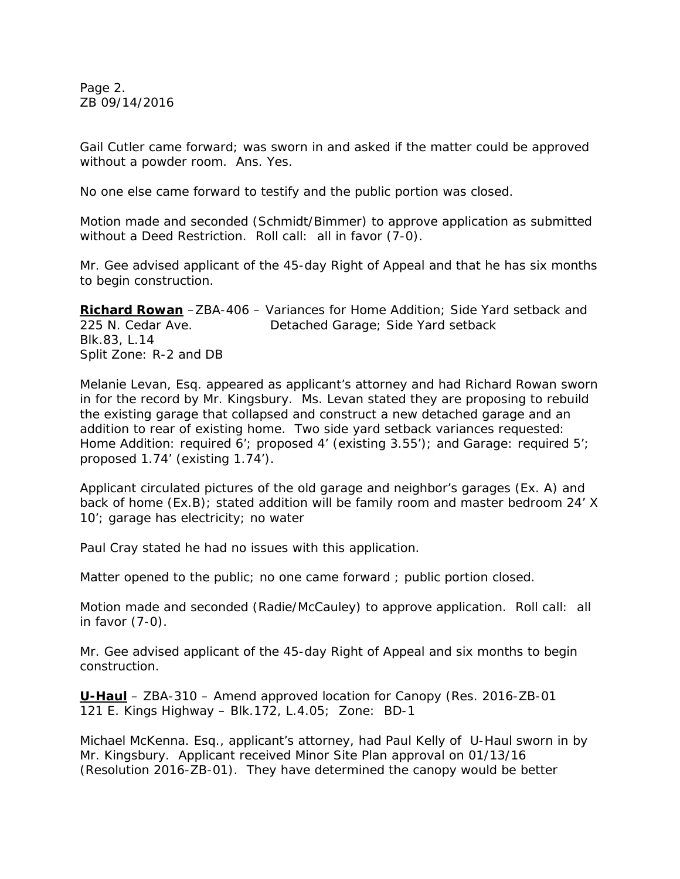Page 2. ZB 09/14/2016

Gail Cutler came forward; was sworn in and asked if the matter could be approved without a powder room. Ans. Yes.

No one else came forward to testify and the public portion was closed.

Motion made and seconded (Schmidt/Bimmer) to approve application as submitted without a Deed Restriction. Roll call: all in favor (7-0).

Mr. Gee advised applicant of the 45-day Right of Appeal and that he has six months to begin construction.

**Richard Rowan** –ZBA-406 – Variances for Home Addition; Side Yard setback and 225 N. Cedar Ave. Detached Garage; Side Yard setback Blk.83, L.14 Split Zone: R-2 and DB

Melanie Levan, Esq. appeared as applicant's attorney and had Richard Rowan sworn in for the record by Mr. Kingsbury. Ms. Levan stated they are proposing to rebuild the existing garage that collapsed and construct a new detached garage and an addition to rear of existing home. Two side yard setback variances requested: Home Addition: required 6'; proposed 4' (existing 3.55'); and Garage: required 5'; proposed 1.74' (existing 1.74').

Applicant circulated pictures of the old garage and neighbor's garages (Ex. A) and back of home (Ex.B); stated addition will be family room and master bedroom 24' X 10'; garage has electricity; no water

Paul Cray stated he had no issues with this application.

Matter opened to the public; no one came forward ; public portion closed.

Motion made and seconded (Radie/McCauley) to approve application. Roll call: all in favor (7-0).

Mr. Gee advised applicant of the 45-day Right of Appeal and six months to begin construction.

**U-Haul** – ZBA-310 – Amend approved location for Canopy (Res. 2016-ZB-01 121 E. Kings Highway – Blk.172, L.4.05; Zone: BD-1

Michael McKenna. Esq., applicant's attorney, had Paul Kelly of U-Haul sworn in by Mr. Kingsbury. Applicant received Minor Site Plan approval on 01/13/16 (Resolution 2016-ZB-01). They have determined the canopy would be better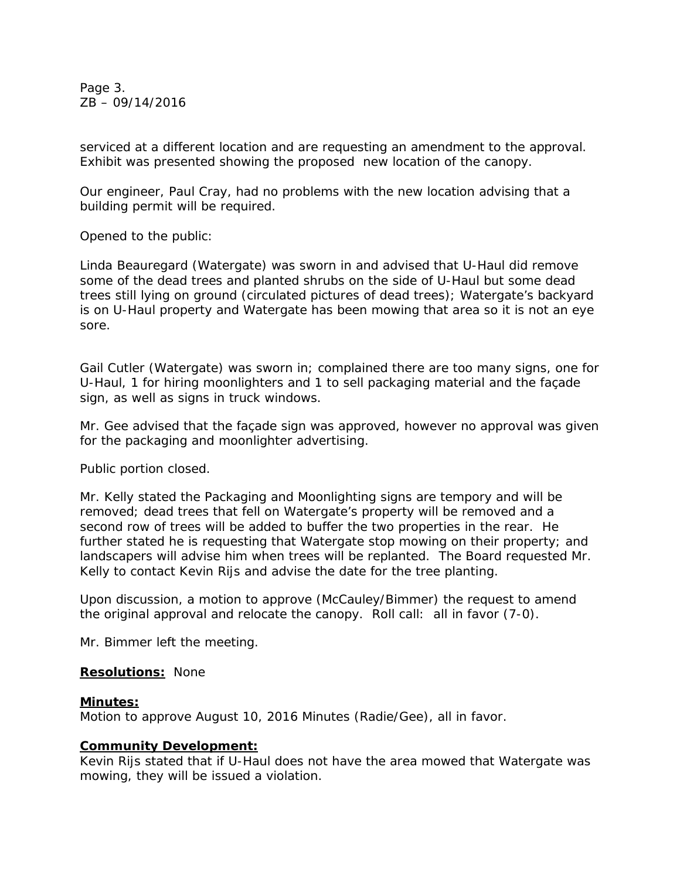Page 3. ZB – 09/14/2016

serviced at a different location and are requesting an amendment to the approval. Exhibit was presented showing the proposed new location of the canopy.

Our engineer, Paul Cray, had no problems with the new location advising that a building permit will be required.

Opened to the public:

Linda Beauregard (Watergate) was sworn in and advised that U-Haul did remove some of the dead trees and planted shrubs on the side of U-Haul but some dead trees still lying on ground (circulated pictures of dead trees); Watergate's backyard is on U-Haul property and Watergate has been mowing that area so it is not an eye sore.

Gail Cutler (Watergate) was sworn in; complained there are too many signs, one for U-Haul, 1 for hiring moonlighters and 1 to sell packaging material and the façade sign, as well as signs in truck windows.

Mr. Gee advised that the façade sign was approved, however no approval was given for the packaging and moonlighter advertising.

Public portion closed.

Mr. Kelly stated the Packaging and Moonlighting signs are tempory and will be removed; dead trees that fell on Watergate's property will be removed and a second row of trees will be added to buffer the two properties in the rear. He further stated he is requesting that Watergate stop mowing on their property; and landscapers will advise him when trees will be replanted. The Board requested Mr. Kelly to contact Kevin Rijs and advise the date for the tree planting.

Upon discussion, a motion to approve (McCauley/Bimmer) the request to amend the original approval and relocate the canopy. Roll call: all in favor (7-0).

Mr. Bimmer left the meeting.

#### **Resolutions:** None

#### **Minutes:**

Motion to approve August 10, 2016 Minutes (Radie/Gee), all in favor.

## **Community Development:**

Kevin Rijs stated that if U-Haul does not have the area mowed that Watergate was mowing, they will be issued a violation.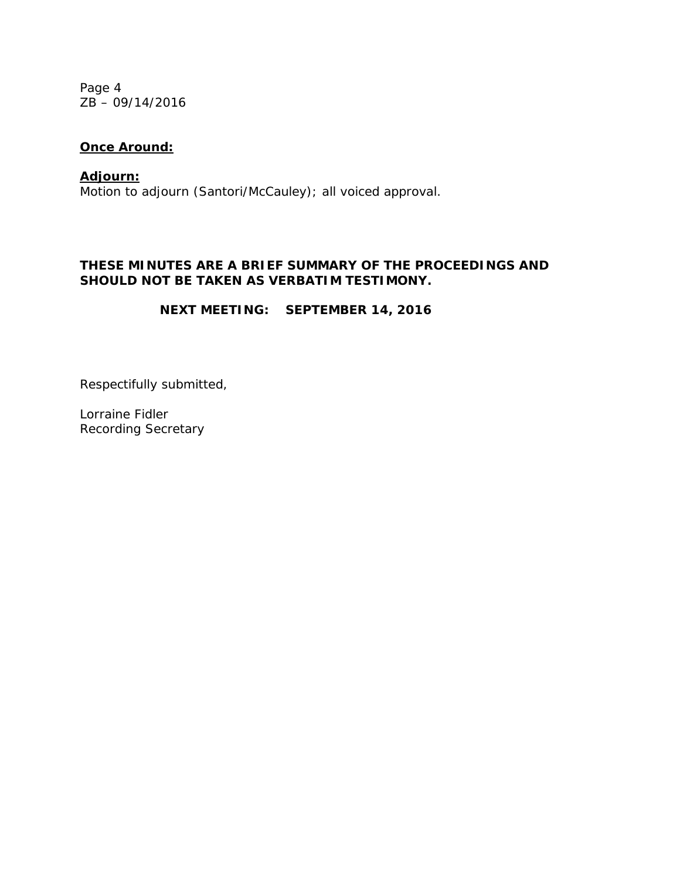Page 4 ZB – 09/14/2016

# **Once Around:**

Motion to adjourn (Santori/McCauley); all voiced approval. **Adjourn:**

# **THESE MINUTES ARE A BRIEF SUMMARY OF THE PROCEEDINGS AND SHOULD NOT BE TAKEN AS VERBATIM TESTIMONY.**

**NEXT MEETING: SEPTEMBER 14, 2016**

Respectifully submitted,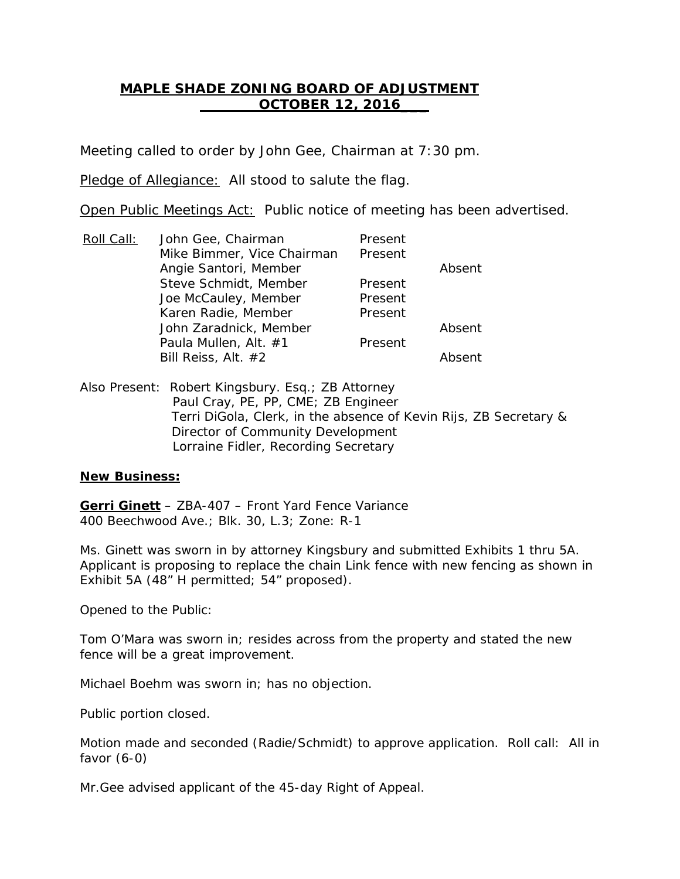# **MAPLE SHADE ZONING BOARD OF ADJUSTMENT OCTOBER 12, 2016\_\_\_**

Meeting called to order by John Gee, Chairman at 7:30 pm.

Pledge of Allegiance: All stood to salute the flag.

Open Public Meetings Act: Public notice of meeting has been advertised.

| John Gee, Chairman         | Present |        |
|----------------------------|---------|--------|
| Mike Bimmer, Vice Chairman | Present |        |
| Angie Santori, Member      |         | Absent |
| Steve Schmidt, Member      | Present |        |
| Joe McCauley, Member       | Present |        |
| Karen Radie, Member        | Present |        |
| John Zaradnick, Member     |         | Absent |
| Paula Mullen, Alt. #1      | Present |        |
| Bill Reiss, Alt. #2        |         | Absent |
|                            |         |        |

Also Present: Robert Kingsbury. Esq.; ZB Attorney Paul Cray, PE, PP, CME; ZB Engineer Terri DiGola, Clerk, in the absence of Kevin Rijs, ZB Secretary & Director of Community Development Lorraine Fidler, Recording Secretary

# **New Business:**

**Gerri Ginett** – ZBA-407 – Front Yard Fence Variance 400 Beechwood Ave.; Blk. 30, L.3; Zone: R-1

Ms. Ginett was sworn in by attorney Kingsbury and submitted Exhibits 1 thru 5A. Applicant is proposing to replace the chain Link fence with new fencing as shown in Exhibit 5A (48" H permitted; 54" proposed).

Opened to the Public:

Tom O'Mara was sworn in; resides across from the property and stated the new fence will be a great improvement.

Michael Boehm was sworn in; has no objection.

Public portion closed.

Motion made and seconded (Radie/Schmidt) to approve application. Roll call: All in favor (6-0)

Mr.Gee advised applicant of the 45-day Right of Appeal.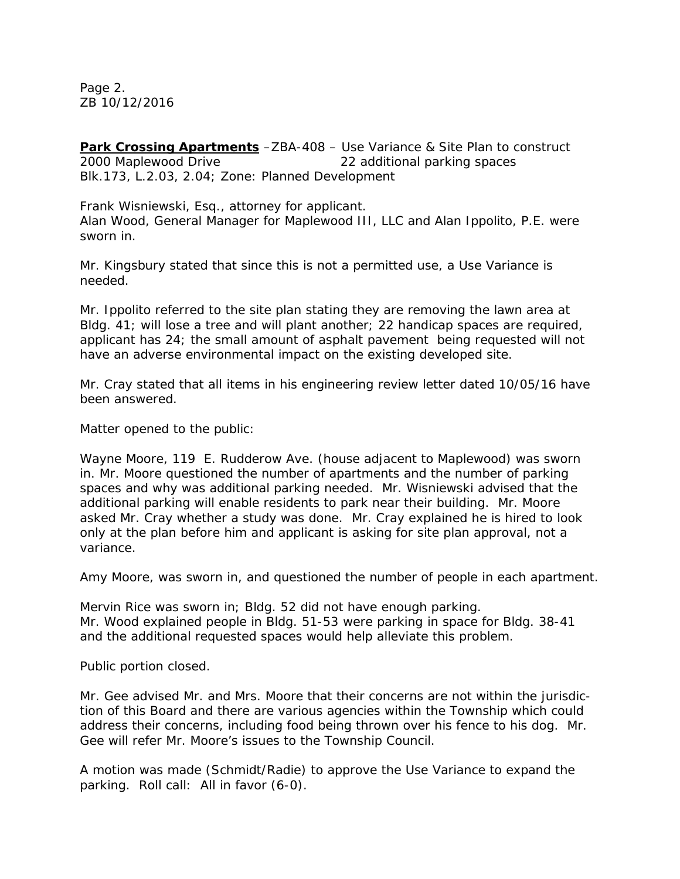Page 2. ZB 10/12/2016

**Park Crossing Apartments** -ZBA-408 - Use Variance & Site Plan to construct 2000 Maplewood Drive 22 additional parking spaces Blk.173, L.2.03, 2.04; Zone: Planned Development

Frank Wisniewski, Esq., attorney for applicant. Alan Wood, General Manager for Maplewood III, LLC and Alan Ippolito, P.E. were sworn in.

Mr. Kingsbury stated that since this is not a permitted use, a Use Variance is needed.

Mr. Ippolito referred to the site plan stating they are removing the lawn area at Bldg. 41; will lose a tree and will plant another; 22 handicap spaces are required, applicant has 24; the small amount of asphalt pavement being requested will not have an adverse environmental impact on the existing developed site.

Mr. Cray stated that all items in his engineering review letter dated 10/05/16 have been answered.

Matter opened to the public:

Wayne Moore, 119 E. Rudderow Ave. (house adjacent to Maplewood) was sworn in. Mr. Moore questioned the number of apartments and the number of parking spaces and why was additional parking needed. Mr. Wisniewski advised that the additional parking will enable residents to park near their building. Mr. Moore asked Mr. Cray whether a study was done. Mr. Cray explained he is hired to look only at the plan before him and applicant is asking for site plan approval, not a variance.

Amy Moore, was sworn in, and questioned the number of people in each apartment.

Mervin Rice was sworn in; Bldg. 52 did not have enough parking. Mr. Wood explained people in Bldg. 51-53 were parking in space for Bldg. 38-41 and the additional requested spaces would help alleviate this problem.

Public portion closed.

Mr. Gee advised Mr. and Mrs. Moore that their concerns are not within the jurisdiction of this Board and there are various agencies within the Township which could address their concerns, including food being thrown over his fence to his dog. Mr. Gee will refer Mr. Moore's issues to the Township Council.

A motion was made (Schmidt/Radie) to approve the Use Variance to expand the parking. Roll call: All in favor (6-0).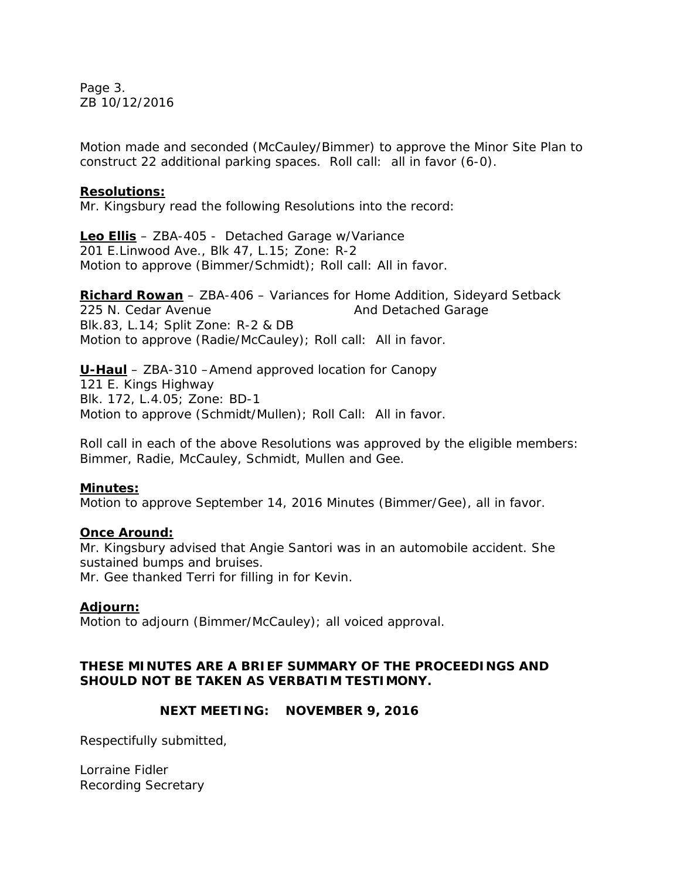Page 3. ZB 10/12/2016

Motion made and seconded (McCauley/Bimmer) to approve the Minor Site Plan to construct 22 additional parking spaces. Roll call: all in favor (6-0).

## **Resolutions:**

Mr. Kingsbury read the following Resolutions into the record:

**Leo Ellis** – ZBA-405 - Detached Garage w/Variance 201 E.Linwood Ave., Blk 47, L.15; Zone: R-2 Motion to approve (Bimmer/Schmidt); Roll call: All in favor.

**Richard Rowan** – ZBA-406 – Variances for Home Addition, Sideyard Setback 225 N. Cedar Avenue **And Detached Garage** Blk.83, L.14; Split Zone: R-2 & DB Motion to approve (Radie/McCauley); Roll call: All in favor.

**U-Haul** – ZBA-310 –Amend approved location for Canopy 121 E. Kings Highway Blk. 172, L.4.05; Zone: BD-1 Motion to approve (Schmidt/Mullen); Roll Call: All in favor.

Roll call in each of the above Resolutions was approved by the eligible members: Bimmer, Radie, McCauley, Schmidt, Mullen and Gee.

## **Minutes:**

Motion to approve September 14, 2016 Minutes (Bimmer/Gee), all in favor.

#### **Once Around:**

Mr. Kingsbury advised that Angie Santori was in an automobile accident. She sustained bumps and bruises.

Mr. Gee thanked Terri for filling in for Kevin.

## **Adjourn:**

Motion to adjourn (Bimmer/McCauley); all voiced approval.

# **THESE MINUTES ARE A BRIEF SUMMARY OF THE PROCEEDINGS AND SHOULD NOT BE TAKEN AS VERBATIM TESTIMONY.**

# **NEXT MEETING: NOVEMBER 9, 2016**

Respectifully submitted,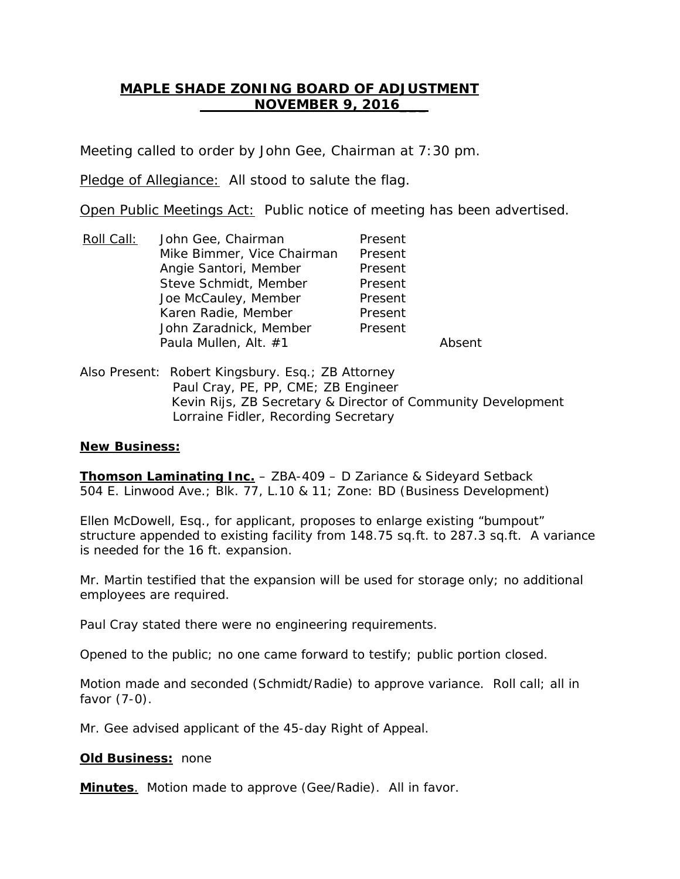# **MAPLE SHADE ZONING BOARD OF ADJUSTMENT NOVEMBER 9, 2016\_\_\_**

Meeting called to order by John Gee, Chairman at 7:30 pm.

Pledge of Allegiance: All stood to salute the flag.

Open Public Meetings Act: Public notice of meeting has been advertised.

- Roll Call: Mike Bimmer, Vice Chairman Present John Gee, Chairman Present Angie Santori, Member Present Steve Schmidt, Member Present Joe McCauley, Member Present Karen Radie, Member Present John Zaradnick, Member Present Paula Mullen, Alt. #1 Absent
- Also Present: Robert Kingsbury. Esq.; ZB Attorney Paul Cray, PE, PP, CME; ZB Engineer Kevin Rijs, ZB Secretary & Director of Community Development Lorraine Fidler, Recording Secretary

## **New Business:**

**Thomson Laminating Inc.** – ZBA-409 – D Zariance & Sideyard Setback 504 E. Linwood Ave.; Blk. 77, L.10 & 11; Zone: BD (Business Development)

Ellen McDowell, Esq., for applicant, proposes to enlarge existing "bumpout" structure appended to existing facility from 148.75 sq.ft. to 287.3 sq.ft. A variance is needed for the 16 ft. expansion.

Mr. Martin testified that the expansion will be used for storage only; no additional employees are required.

Paul Cray stated there were no engineering requirements.

Opened to the public; no one came forward to testify; public portion closed.

Motion made and seconded (Schmidt/Radie) to approve variance. Roll call; all in favor (7-0).

Mr. Gee advised applicant of the 45-day Right of Appeal.

**Old Business:** none

**Minutes**. Motion made to approve (Gee/Radie). All in favor.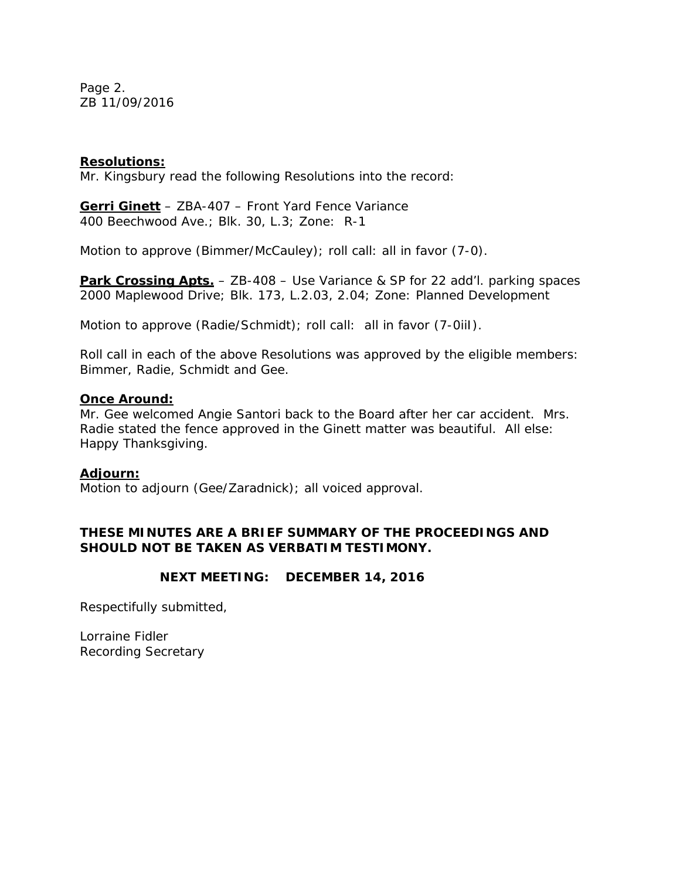Page 2. ZB 11/09/2016

## **Resolutions:**

Mr. Kingsbury read the following Resolutions into the record:

**Gerri Ginett** – ZBA-407 – Front Yard Fence Variance 400 Beechwood Ave.; Blk. 30, L.3; Zone: R-1

Motion to approve (Bimmer/McCauley); roll call: all in favor (7-0).

**Park Crossing Apts.** – ZB-408 – Use Variance & SP for 22 add'l. parking spaces 2000 Maplewood Drive; Blk. 173, L.2.03, 2.04; Zone: Planned Development

Motion to approve (Radie/Schmidt); roll call: all in favor (7-0iil).

Roll call in each of the above Resolutions was approved by the eligible members: Bimmer, Radie, Schmidt and Gee.

#### **Once Around:**

Mr. Gee welcomed Angie Santori back to the Board after her car accident. Mrs. Radie stated the fence approved in the Ginett matter was beautiful. All else: Happy Thanksgiving.

#### **Adjourn:**

Motion to adjourn (Gee/Zaradnick); all voiced approval.

## **THESE MINUTES ARE A BRIEF SUMMARY OF THE PROCEEDINGS AND SHOULD NOT BE TAKEN AS VERBATIM TESTIMONY.**

#### **NEXT MEETING: DECEMBER 14, 2016**

Respectifully submitted,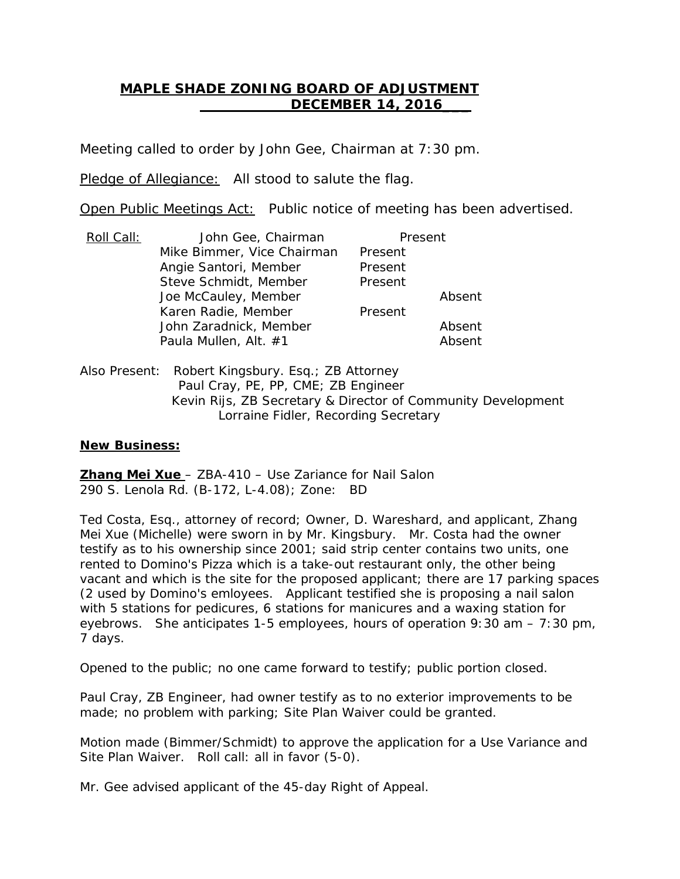# **MAPLE SHADE ZONING BOARD OF ADJUSTMENT DECEMBER 14, 2016\_\_\_**

Meeting called to order by John Gee, Chairman at 7:30 pm.

Pledge of Allegiance: All stood to salute the flag.

Open Public Meetings Act: Public notice of meeting has been advertised.

| Roll Call: | John Gee, Chairman         | Present |        |
|------------|----------------------------|---------|--------|
|            | Mike Bimmer, Vice Chairman | Present |        |
|            | Angie Santori, Member      | Present |        |
|            | Steve Schmidt, Member      | Present |        |
|            | Joe McCauley, Member       |         | Absent |
|            | Karen Radie, Member        | Present |        |
|            | John Zaradnick, Member     |         | Absent |
|            | Paula Mullen, Alt. #1      |         | Absent |
|            |                            |         |        |

Also Present: Robert Kingsbury. Esq.; ZB Attorney Paul Cray, PE, PP, CME; ZB Engineer Kevin Rijs, ZB Secretary & Director of Community Development Lorraine Fidler, Recording Secretary

## **New Business:**

**Zhang Mei Xue**  – ZBA-410 – Use Zariance for Nail Salon 290 S. Lenola Rd. (B-172, L-4.08); Zone: BD

Ted Costa, Esq., attorney of record; Owner, D. Wareshard, and applicant, Zhang Mei Xue (Michelle) were sworn in by Mr. Kingsbury. Mr. Costa had the owner testify as to his ownership since 2001; said strip center contains two units, one rented to Domino's Pizza which is a take-out restaurant only, the other being vacant and which is the site for the proposed applicant; there are 17 parking spaces (2 used by Domino's emloyees. Applicant testified she is proposing a nail salon with 5 stations for pedicures, 6 stations for manicures and a waxing station for eyebrows. She anticipates 1-5 employees, hours of operation 9:30 am – 7:30 pm, 7 days.

Opened to the public; no one came forward to testify; public portion closed.

Paul Cray, ZB Engineer, had owner testify as to no exterior improvements to be made; no problem with parking; Site Plan Waiver could be granted.

Motion made (Bimmer/Schmidt) to approve the application for a Use Variance and Site Plan Waiver. Roll call: all in favor (5-0).

Mr. Gee advised applicant of the 45-day Right of Appeal.